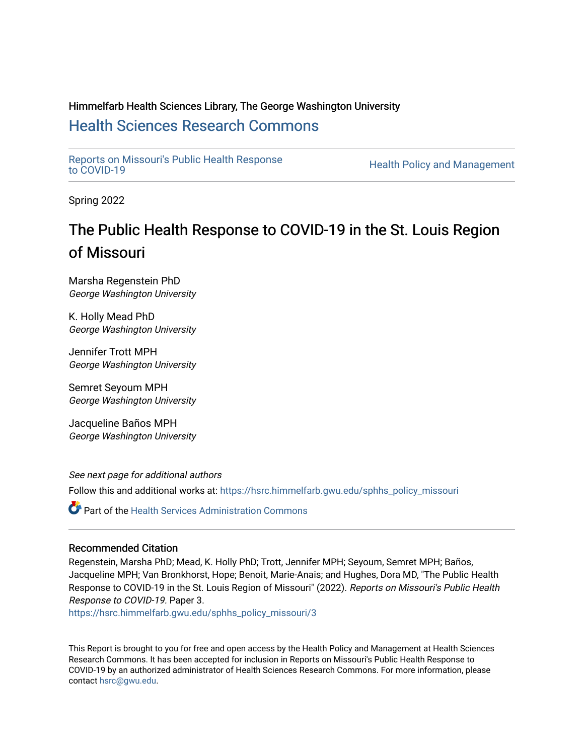#### Himmelfarb Health Sciences Library, The George Washington University [Health Sciences Research Commons](https://hsrc.himmelfarb.gwu.edu/)

[Reports on Missouri's Public Health Response](https://hsrc.himmelfarb.gwu.edu/sphhs_policy_missouri)

Health Policy and Management

Spring 2022

## The Public Health Response to COVID-19 in the St. Louis Region of Missouri

Marsha Regenstein PhD George Washington University

K. Holly Mead PhD George Washington University

Jennifer Trott MPH George Washington University

Semret Seyoum MPH George Washington University

Jacqueline Baños MPH George Washington University

See next page for additional authors

Follow this and additional works at: [https://hsrc.himmelfarb.gwu.edu/sphhs\\_policy\\_missouri](https://hsrc.himmelfarb.gwu.edu/sphhs_policy_missouri?utm_source=hsrc.himmelfarb.gwu.edu%2Fsphhs_policy_missouri%2F3&utm_medium=PDF&utm_campaign=PDFCoverPages)

**P** Part of the Health Services Administration Commons

#### Recommended Citation

Regenstein, Marsha PhD; Mead, K. Holly PhD; Trott, Jennifer MPH; Seyoum, Semret MPH; Baños, Jacqueline MPH; Van Bronkhorst, Hope; Benoit, Marie-Anais; and Hughes, Dora MD, "The Public Health Response to COVID-19 in the St. Louis Region of Missouri" (2022). Reports on Missouri's Public Health Response to COVID-19. Paper 3.

[https://hsrc.himmelfarb.gwu.edu/sphhs\\_policy\\_missouri/3](https://hsrc.himmelfarb.gwu.edu/sphhs_policy_missouri/3?utm_source=hsrc.himmelfarb.gwu.edu%2Fsphhs_policy_missouri%2F3&utm_medium=PDF&utm_campaign=PDFCoverPages) 

This Report is brought to you for free and open access by the Health Policy and Management at Health Sciences Research Commons. It has been accepted for inclusion in Reports on Missouri's Public Health Response to COVID-19 by an authorized administrator of Health Sciences Research Commons. For more information, please contact [hsrc@gwu.edu.](mailto:hsrc@gwu.edu)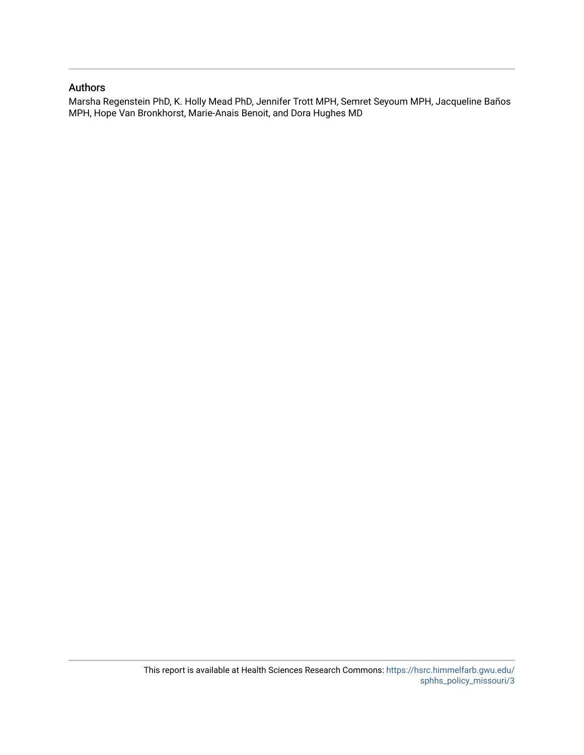#### Authors

Marsha Regenstein PhD, K. Holly Mead PhD, Jennifer Trott MPH, Semret Seyoum MPH, Jacqueline Baños MPH, Hope Van Bronkhorst, Marie-Anais Benoit, and Dora Hughes MD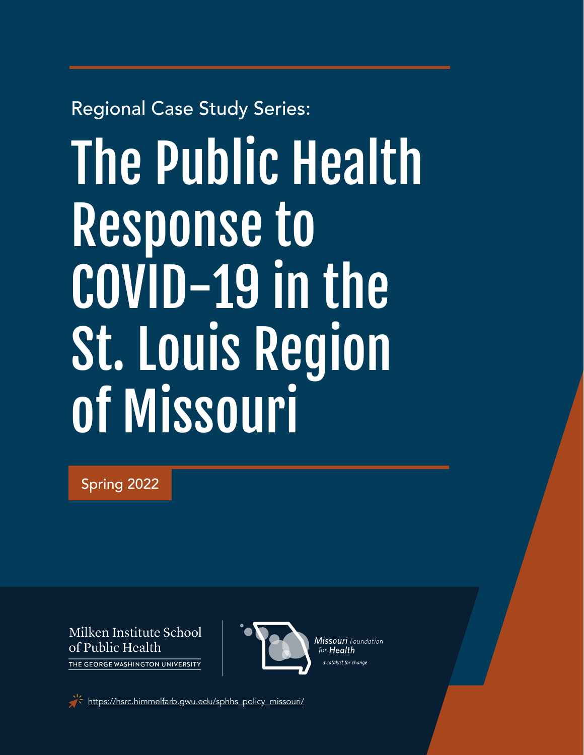## Regional Case Study Series:

# The Public Health Response to COVID-19 in the St. Louis Region of Missouri

Spring 2022

Milken Institute School of Public Health THE GEORGE WASHINGTON UNIVERSITY



[https://hsrc.himmelfarb.gwu.edu/sphhs\\_policy\\_missouri/](https://hsrc.himmelfarb.gwu.edu/sphhs_policy_missouri/)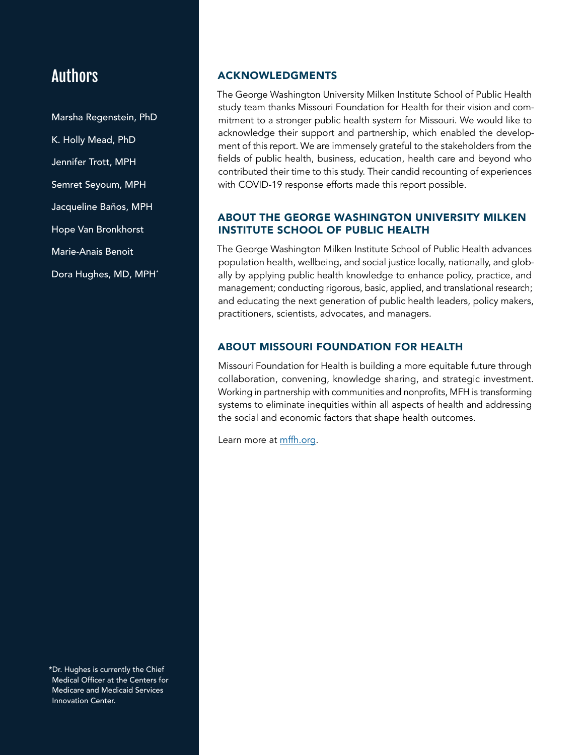### Authors

Marsha Regenstein, PhD K. Holly Mead, PhD Jennifer Trott, MPH Semret Seyoum, MPH Jacqueline Baños, MPH Hope Van Bronkhorst Marie-Anais Benoit Dora Hughes, MD, MPH\*

#### ACKNOWLEDGMENTS

The George Washington University Milken Institute School of Public Health study team thanks Missouri Foundation for Health for their vision and commitment to a stronger public health system for Missouri. We would like to acknowledge their support and partnership, which enabled the development of this report. We are immensely grateful to the stakeholders from the fields of public health, business, education, health care and beyond who contributed their time to this study. Their candid recounting of experiences with COVID-19 response efforts made this report possible.

#### ABOUT THE GEORGE WASHINGTON UNIVERSITY MILKEN INSTITUTE SCHOOL OF PUBLIC HEALTH

The George Washington Milken Institute School of Public Health advances population health, wellbeing, and social justice locally, nationally, and globally by applying public health knowledge to enhance policy, practice, and management; conducting rigorous, basic, applied, and translational research; and educating the next generation of public health leaders, policy makers, practitioners, scientists, advocates, and managers.

#### ABOUT MISSOURI FOUNDATION FOR HEALTH

Missouri Foundation for Health is building a more equitable future through collaboration, convening, knowledge sharing, and strategic investment. Working in partnership with communities and nonprofits, MFH is transforming systems to eliminate inequities within all aspects of health and addressing the social and economic factors that shape health outcomes.

Learn more at [mffh.org](https://mffh.org/).

\*Dr. Hughes is currently the Chief Medical Officer at the Centers for Medicare and Medicaid Services Innovation Center.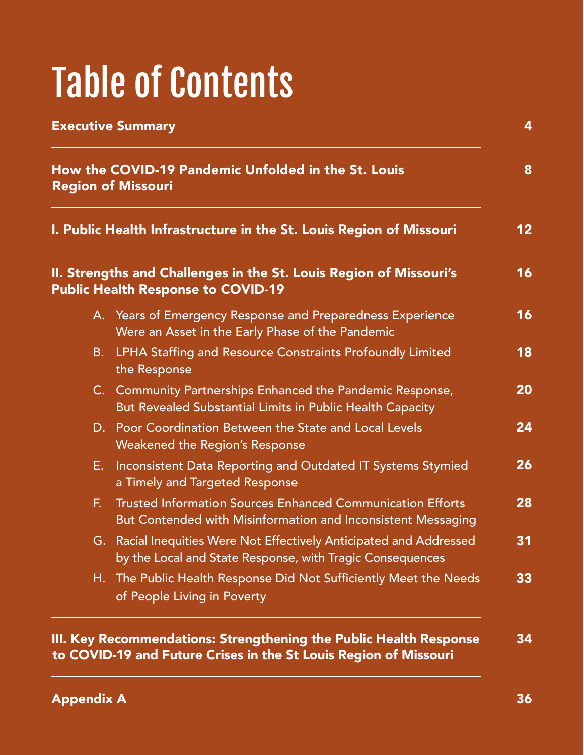# Table of Contents

| How the COVID-19 Pandemic Unfolded in the St. Louis<br><b>Region of Missouri</b><br>I. Public Health Infrastructure in the St. Louis Region of Missouri<br>II. Strengths and Challenges in the St. Louis Region of Missouri's<br><b>Public Health Response to COVID-19</b> |                                                                                                                                   |  |    |                                                                                                                |
|----------------------------------------------------------------------------------------------------------------------------------------------------------------------------------------------------------------------------------------------------------------------------|-----------------------------------------------------------------------------------------------------------------------------------|--|----|----------------------------------------------------------------------------------------------------------------|
|                                                                                                                                                                                                                                                                            |                                                                                                                                   |  |    | A. Years of Emergency Response and Preparedness Experience<br>Were an Asset in the Early Phase of the Pandemic |
|                                                                                                                                                                                                                                                                            |                                                                                                                                   |  | B. | LPHA Staffing and Resource Constraints Profoundly Limited<br>the Response                                      |
|                                                                                                                                                                                                                                                                            | C. Community Partnerships Enhanced the Pandemic Response,<br>But Revealed Substantial Limits in Public Health Capacity            |  |    |                                                                                                                |
|                                                                                                                                                                                                                                                                            | D. Poor Coordination Between the State and Local Levels<br><b>Weakened the Region's Response</b>                                  |  |    |                                                                                                                |
| Е.                                                                                                                                                                                                                                                                         | Inconsistent Data Reporting and Outdated IT Systems Stymied<br>a Timely and Targeted Response                                     |  |    |                                                                                                                |
| F.                                                                                                                                                                                                                                                                         | <b>Trusted Information Sources Enhanced Communication Efforts</b><br>But Contended with Misinformation and Inconsistent Messaging |  |    |                                                                                                                |
|                                                                                                                                                                                                                                                                            | G. Racial Inequities Were Not Effectively Anticipated and Addressed<br>by the Local and State Response, with Tragic Consequences  |  |    |                                                                                                                |
|                                                                                                                                                                                                                                                                            | H. The Public Health Response Did Not Sufficiently Meet the Needs<br>of People Living in Poverty                                  |  |    |                                                                                                                |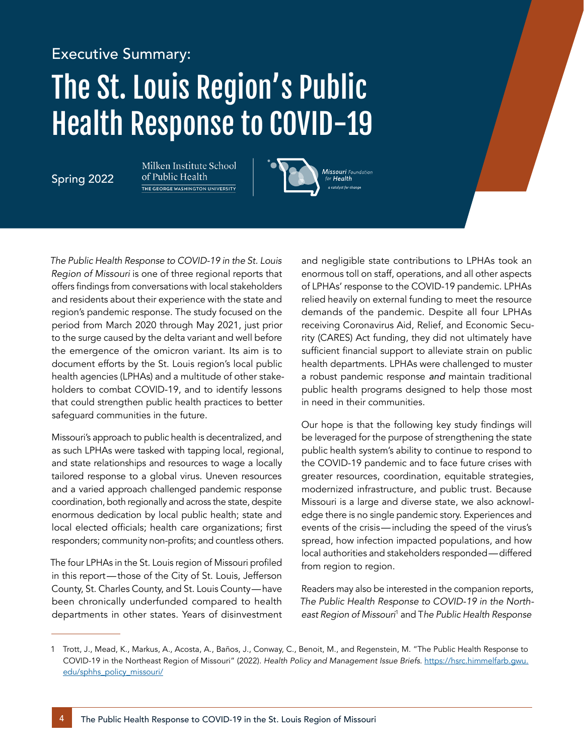# Executive Summary: The St. Louis Region's Public Health Response to COVID-19

Spring 2022

Milken Institute School of Public Health THE GEORGE WASHINGTON UNIVERSITY



*The Public Health Response to COVID-19 in the St. Louis Region of Missouri* is one of three regional reports that offers findings from conversations with local stakeholders and residents about their experience with the state and region's pandemic response. The study focused on the period from March 2020 through May 2021, just prior to the surge caused by the delta variant and well before the emergence of the omicron variant. Its aim is to document efforts by the St. Louis region's local public health agencies (LPHAs) and a multitude of other stakeholders to combat COVID-19, and to identify lessons that could strengthen public health practices to better safeguard communities in the future.

Missouri's approach to public health is decentralized, and as such LPHAs were tasked with tapping local, regional, and state relationships and resources to wage a locally tailored response to a global virus. Uneven resources and a varied approach challenged pandemic response coordination, both regionally and across the state, despite enormous dedication by local public health; state and local elected officials; health care organizations; first responders; community non-profits; and countless others.

The four LPHAs in the St. Louis region of Missouri profiled in this report—those of the City of St. Louis, Jefferson County, St. Charles County, and St. Louis County—have been chronically underfunded compared to health departments in other states. Years of disinvestment and negligible state contributions to LPHAs took an enormous toll on staff, operations, and all other aspects of LPHAs' response to the COVID-19 pandemic. LPHAs relied heavily on external funding to meet the resource demands of the pandemic. Despite all four LPHAs receiving Coronavirus Aid, Relief, and Economic Security (CARES) Act funding, they did not ultimately have sufficient financial support to alleviate strain on public health departments. LPHAs were challenged to muster a robust pandemic response *and* maintain traditional public health programs designed to help those most in need in their communities.

Our hope is that the following key study findings will be leveraged for the purpose of strengthening the state public health system's ability to continue to respond to the COVID-19 pandemic and to face future crises with greater resources, coordination, equitable strategies, modernized infrastructure, and public trust. Because Missouri is a large and diverse state, we also acknowledge there is no single pandemic story. Experiences and events of the crisis—including the speed of the virus's spread, how infection impacted populations, and how local authorities and stakeholders responded—differed from region to region.

Readers may also be interested in the companion reports, *The Public Health Response to COVID-19 in the Northeast Region of Missouri*<sup>1</sup> and T*he Public Health Response*

<sup>1</sup> Trott, J., Mead, K., Markus, A., Acosta, A., Baños, J., Conway, C., Benoit, M., and Regenstein, M. "The Public Health Response to COVID-19 in the Northeast Region of Missouri" (2022). *Health Policy and Management Issue Briefs*. [https://hsrc.himmelfarb.gwu.](https://hsrc.himmelfarb.gwu.edu/sphhs_policy_missouri/) [edu/sphhs\\_policy\\_missouri/](https://hsrc.himmelfarb.gwu.edu/sphhs_policy_missouri/)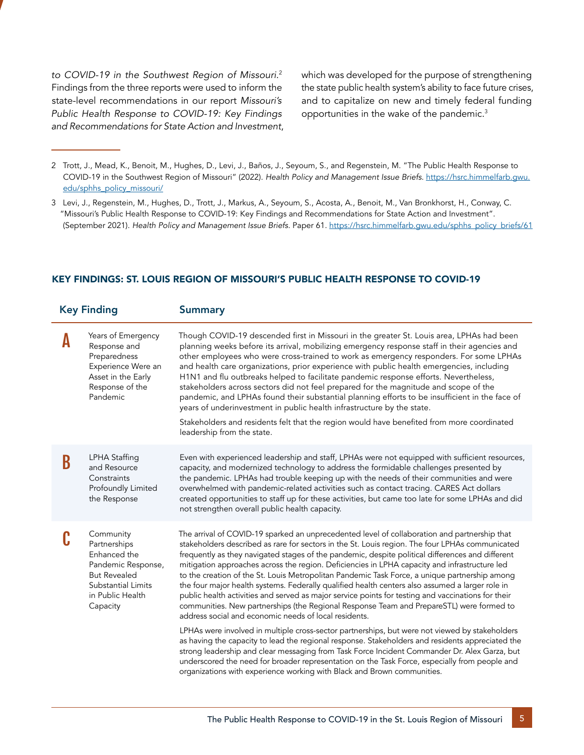*to COVID-19 in the Southwest Region of Missouri*. 2 Findings from the three reports were used to inform the state-level recommendations in our report *Missouri's Public Health Response to COVID-19: Key Findings and Recommendations for State Action and Investment*, which was developed for the purpose of strengthening the state public health system's ability to face future crises, and to capitalize on new and timely federal funding opportunities in the wake of the pandemic.<sup>3</sup>

- 2 Trott, J., Mead, K., Benoit, M., Hughes, D., Levi, J., Baños, J., Seyoum, S., and Regenstein, M. "The Public Health Response to COVID-19 in the Southwest Region of Missouri" (2022). *Health Policy and Management Issue Briefs.* [https://hsrc.himmelfarb.gwu.](https://hsrc.himmelfarb.gwu.edu/sphhs_policy_missouri/) [edu/sphhs\\_policy\\_missouri/](https://hsrc.himmelfarb.gwu.edu/sphhs_policy_missouri/)
- 3 Levi, J., Regenstein, M., Hughes, D., Trott, J., Markus, A., Seyoum, S., Acosta, A., Benoit, M., Van Bronkhorst, H., Conway, C. "Missouri's Public Health Response to COVID-19: Key Findings and Recommendations for State Action and Investment". (September 2021). *Health Policy and Management Issue Briefs*. Paper 61. [https://hsrc.himmelfarb.gwu.edu/sphhs\\_policy\\_briefs/61](https://hsrc.himmelfarb.gwu.edu/sphhs_policy_briefs/61)

| <b>Summary</b>                                                                                                                                                                                                                                                                                                                                                                                                                                                                                                                                                                                                                                                                                                                                                                                                                                                                                                                                                                                                                                                                                                                                                                                                                                                                                                                                        |  |  |
|-------------------------------------------------------------------------------------------------------------------------------------------------------------------------------------------------------------------------------------------------------------------------------------------------------------------------------------------------------------------------------------------------------------------------------------------------------------------------------------------------------------------------------------------------------------------------------------------------------------------------------------------------------------------------------------------------------------------------------------------------------------------------------------------------------------------------------------------------------------------------------------------------------------------------------------------------------------------------------------------------------------------------------------------------------------------------------------------------------------------------------------------------------------------------------------------------------------------------------------------------------------------------------------------------------------------------------------------------------|--|--|
| Though COVID-19 descended first in Missouri in the greater St. Louis area, LPHAs had been<br>planning weeks before its arrival, mobilizing emergency response staff in their agencies and<br>other employees who were cross-trained to work as emergency responders. For some LPHAs<br>and health care organizations, prior experience with public health emergencies, including<br>H1N1 and flu outbreaks helped to facilitate pandemic response efforts. Nevertheless,<br>stakeholders across sectors did not feel prepared for the magnitude and scope of the<br>pandemic, and LPHAs found their substantial planning efforts to be insufficient in the face of<br>years of underinvestment in public health infrastructure by the state.<br>Stakeholders and residents felt that the region would have benefited from more coordinated<br>leadership from the state.                                                                                                                                                                                                                                                                                                                                                                                                                                                                              |  |  |
| Even with experienced leadership and staff, LPHAs were not equipped with sufficient resources,<br>capacity, and modernized technology to address the formidable challenges presented by<br>the pandemic. LPHAs had trouble keeping up with the needs of their communities and were<br>overwhelmed with pandemic-related activities such as contact tracing. CARES Act dollars<br>created opportunities to staff up for these activities, but came too late for some LPHAs and did<br>not strengthen overall public health capacity.                                                                                                                                                                                                                                                                                                                                                                                                                                                                                                                                                                                                                                                                                                                                                                                                                   |  |  |
| The arrival of COVID-19 sparked an unprecedented level of collaboration and partnership that<br>stakeholders described as rare for sectors in the St. Louis region. The four LPHAs communicated<br>frequently as they navigated stages of the pandemic, despite political differences and different<br>mitigation approaches across the region. Deficiencies in LPHA capacity and infrastructure led<br>to the creation of the St. Louis Metropolitan Pandemic Task Force, a unique partnership among<br>the four major health systems. Federally qualified health centers also assumed a larger role in<br>public health activities and served as major service points for testing and vaccinations for their<br>communities. New partnerships (the Regional Response Team and PrepareSTL) were formed to<br>address social and economic needs of local residents.<br>LPHAs were involved in multiple cross-sector partnerships, but were not viewed by stakeholders<br>as having the capacity to lead the regional response. Stakeholders and residents appreciated the<br>strong leadership and clear messaging from Task Force Incident Commander Dr. Alex Garza, but<br>underscored the need for broader representation on the Task Force, especially from people and<br>organizations with experience working with Black and Brown communities. |  |  |
|                                                                                                                                                                                                                                                                                                                                                                                                                                                                                                                                                                                                                                                                                                                                                                                                                                                                                                                                                                                                                                                                                                                                                                                                                                                                                                                                                       |  |  |

#### KEY FINDINGS: ST. LOUIS REGION OF MISSOURI'S PUBLIC HEALTH RESPONSE TO COVID-19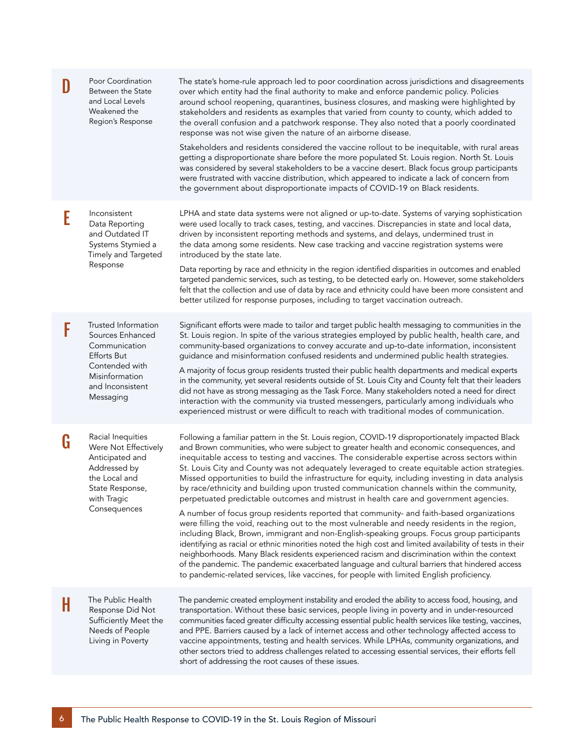| D | Poor Coordination<br>Between the State<br>and Local Levels<br>Weakened the<br>Region's Response                                                     | The state's home-rule approach led to poor coordination across jurisdictions and disagreements<br>over which entity had the final authority to make and enforce pandemic policy. Policies<br>around school reopening, quarantines, business closures, and masking were highlighted by<br>stakeholders and residents as examples that varied from county to county, which added to<br>the overall confusion and a patchwork response. They also noted that a poorly coordinated<br>response was not wise given the nature of an airborne disease.<br>Stakeholders and residents considered the vaccine rollout to be inequitable, with rural areas<br>getting a disproportionate share before the more populated St. Louis region. North St. Louis<br>was considered by several stakeholders to be a vaccine desert. Black focus group participants<br>were frustrated with vaccine distribution, which appeared to indicate a lack of concern from<br>the government about disproportionate impacts of COVID-19 on Black residents.                                                                                                                                                                                                                                                                                                                                                            |
|---|-----------------------------------------------------------------------------------------------------------------------------------------------------|------------------------------------------------------------------------------------------------------------------------------------------------------------------------------------------------------------------------------------------------------------------------------------------------------------------------------------------------------------------------------------------------------------------------------------------------------------------------------------------------------------------------------------------------------------------------------------------------------------------------------------------------------------------------------------------------------------------------------------------------------------------------------------------------------------------------------------------------------------------------------------------------------------------------------------------------------------------------------------------------------------------------------------------------------------------------------------------------------------------------------------------------------------------------------------------------------------------------------------------------------------------------------------------------------------------------------------------------------------------------------------------------|
| E | Inconsistent<br>Data Reporting<br>and Outdated IT<br>Systems Stymied a<br>Timely and Targeted<br>Response                                           | LPHA and state data systems were not aligned or up-to-date. Systems of varying sophistication<br>were used locally to track cases, testing, and vaccines. Discrepancies in state and local data,<br>driven by inconsistent reporting methods and systems, and delays, undermined trust in<br>the data among some residents. New case tracking and vaccine registration systems were<br>introduced by the state late.<br>Data reporting by race and ethnicity in the region identified disparities in outcomes and enabled<br>targeted pandemic services, such as testing, to be detected early on. However, some stakeholders<br>felt that the collection and use of data by race and ethnicity could have been more consistent and<br>better utilized for response purposes, including to target vaccination outreach.                                                                                                                                                                                                                                                                                                                                                                                                                                                                                                                                                                        |
| F | Trusted Information<br>Sources Enhanced<br>Communication<br><b>Efforts But</b><br>Contended with<br>Misinformation<br>and Inconsistent<br>Messaging | Significant efforts were made to tailor and target public health messaging to communities in the<br>St. Louis region. In spite of the various strategies employed by public health, health care, and<br>community-based organizations to convey accurate and up-to-date information, inconsistent<br>guidance and misinformation confused residents and undermined public health strategies.<br>A majority of focus group residents trusted their public health departments and medical experts<br>in the community, yet several residents outside of St. Louis City and County felt that their leaders<br>did not have as strong messaging as the Task Force. Many stakeholders noted a need for direct<br>interaction with the community via trusted messengers, particularly among individuals who<br>experienced mistrust or were difficult to reach with traditional modes of communication.                                                                                                                                                                                                                                                                                                                                                                                                                                                                                              |
| G | Racial Inequities<br>Were Not Effectively<br>Anticipated and<br>Addressed by<br>the Local and<br>State Response,<br>with Tragic<br>Consequences     | Following a familiar pattern in the St. Louis region, COVID-19 disproportionately impacted Black<br>and Brown communities, who were subject to greater health and economic consequences, and<br>inequitable access to testing and vaccines. The considerable expertise across sectors within<br>St. Louis City and County was not adequately leveraged to create equitable action strategies.<br>Missed opportunities to build the infrastructure for equity, including investing in data analysis<br>by race/ethnicity and building upon trusted communication channels within the community,<br>perpetuated predictable outcomes and mistrust in health care and government agencies.<br>A number of focus group residents reported that community- and faith-based organizations<br>were filling the void, reaching out to the most vulnerable and needy residents in the region,<br>including Black, Brown, immigrant and non-English-speaking groups. Focus group participants<br>identifying as racial or ethnic minorities noted the high cost and limited availability of tests in their<br>neighborhoods. Many Black residents experienced racism and discrimination within the context<br>of the pandemic. The pandemic exacerbated language and cultural barriers that hindered access<br>to pandemic-related services, like vaccines, for people with limited English proficiency. |
| H | The Public Health<br>Response Did Not<br>Sufficiently Meet the<br>Needs of People<br>Living in Poverty                                              | The pandemic created employment instability and eroded the ability to access food, housing, and<br>transportation. Without these basic services, people living in poverty and in under-resourced<br>communities faced greater difficulty accessing essential public health services like testing, vaccines,<br>and PPE. Barriers caused by a lack of internet access and other technology affected access to<br>vaccine appointments, testing and health services. While LPHAs, community organizations, and<br>other sectors tried to address challenges related to accessing essential services, their efforts fell<br>short of addressing the root causes of these issues.                                                                                                                                                                                                                                                                                                                                                                                                                                                                                                                                                                                                                                                                                                                  |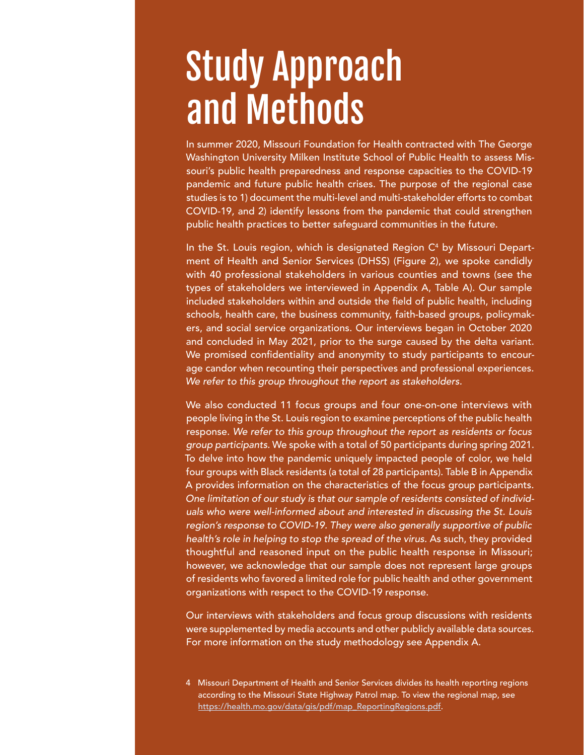# Study Approach and Methods

In summer 2020, Missouri Foundation for Health contracted with The George Washington University Milken Institute School of Public Health to assess Missouri's public health preparedness and response capacities to the COVID-19 pandemic and future public health crises. The purpose of the regional case studies is to 1) document the multi-level and multi-stakeholder efforts to combat COVID-19, and 2) identify lessons from the pandemic that could strengthen public health practices to better safeguard communities in the future.

In the St. Louis region, which is designated Region  $C<sup>4</sup>$  by Missouri Department of Health and Senior Services (DHSS) (Figure 2), we spoke candidly with 40 professional stakeholders in various counties and towns (see the types of stakeholders we interviewed in Appendix A, Table A). Our sample included stakeholders within and outside the field of public health, including schools, health care, the business community, faith-based groups, policymakers, and social service organizations. Our interviews began in October 2020 and concluded in May 2021, prior to the surge caused by the delta variant. We promised confidentiality and anonymity to study participants to encourage candor when recounting their perspectives and professional experiences. *We refer to this group throughout the report as stakeholders.*

We also conducted 11 focus groups and four one-on-one interviews with people living in the St. Louis region to examine perceptions of the public health response. *We refer to this group throughout the report as residents or focus group participants.* We spoke with a total of 50 participants during spring 2021. To delve into how the pandemic uniquely impacted people of color, we held four groups with Black residents (a total of 28 participants). Table B in Appendix A provides information on the characteristics of the focus group participants. *One limitation of our study is that our sample of residents consisted of individuals who were well-informed about and interested in discussing the St. Louis region's response to COVID-19. They were also generally supportive of public health's role in helping to stop the spread of the virus.* As such, they provided thoughtful and reasoned input on the public health response in Missouri; however, we acknowledge that our sample does not represent large groups of residents who favored a limited role for public health and other government organizations with respect to the COVID-19 response.

Our interviews with stakeholders and focus group discussions with residents were supplemented by media accounts and other publicly available data sources. For more information on the study methodology see Appendix A.

4 Missouri Department of Health and Senior Services divides its health reporting regions according to th[e](https://health.mo.gov/data/gis/pdf/map_ReportingRegions.pdf) Missouri State Highway Patrol map. To view the regional map, see [https://health.mo.gov/data/gis/pdf/map\\_ReportingRegions.pdf](https://health.mo.gov/data/gis/pdf/map_ReportingRegions.pdf).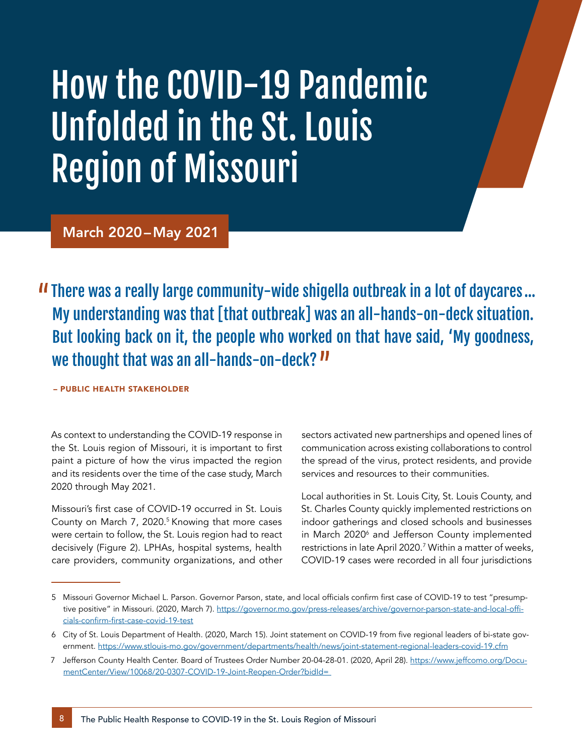# How the COVID-19 Pandemic Unfolded in the St. Louis Region of Missouri

March 2020–May 2021

There was a really large community-wide shigella outbreak in a lot of daycares… My understanding was that [that outbreak] was an all-hands-on-deck situation. But looking back on it, the people who worked on that have said, 'My goodness, we thought that was an all-hands-on-deck?  $\boldsymbol{\prime\prime}$ 

– PUBLIC HEALTH STAKEHOLDER

As context to understanding the COVID-19 response in the St. Louis region of Missouri, it is important to first paint a picture of how the virus impacted the region and its residents over the time of the case study, March 2020 through May 2021.

Missouri's first case of COVID-19 occurred in St. Louis County on March 7, 2020.<sup>5</sup> Knowing that more cases were certain to follow, the St. Louis region had to react decisively (Figure 2). LPHAs, hospital systems, health care providers, community organizations, and other sectors activated new partnerships and opened lines of communication across existing collaborations to control the spread of the virus, protect residents, and provide services and resources to their communities.

Local authorities in St. Louis City, St. Louis County, and St. Charles County quickly implemented restrictions on indoor gatherings and closed schools and businesses in March 2020<sup>6</sup> and Jefferson County implemented restrictions in late April 2020.7 Within a matter of weeks, COVID-19 cases were recorded in all four jurisdictions

<sup>5</sup> Missouri Governor Michael L. Parson. Governor Parson, state, and local officials confirm first case of COVID-19 to test "presumptive positive" in Missouri. (2020, March 7). [https://governor.mo.gov/press-releases/archive/governor-parson-state-and-local-offi](https://governor.mo.gov/press-releases/archive/governor-parson-state-and-local-officials-confirm-first-case-covid-19-test)[cials-confirm-first-case-covid-19-test](https://governor.mo.gov/press-releases/archive/governor-parson-state-and-local-officials-confirm-first-case-covid-19-test)

<sup>6</sup> City of St. Louis Department of Health. (2020, March 15). Joint statement on COVID-19 from five regional leaders of bi-state government. <https://www.stlouis-mo.gov/government/departments/health/news/joint-statement-regional-leaders-covid-19.cfm>

<sup>7</sup> Jefferson County Health Center. Board of Trustees Order Number 20-04-28-01. (2020, April 28). [https://www.jeffcomo.org/Docu](https://www.jeffcomo.org/DocumentCenter/View/10068/20-0307-COVID-19-Joint-Reopen-Order?bidId=)[mentCenter/View/10068/20-0307-COVID-19-Joint-Reopen-Order?bidId=](https://www.jeffcomo.org/DocumentCenter/View/10068/20-0307-COVID-19-Joint-Reopen-Order?bidId=)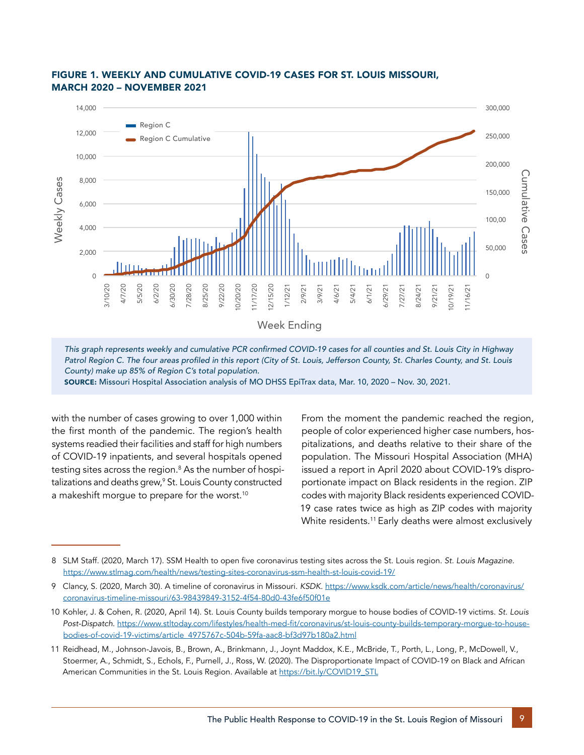

#### FIGURE 1. WEEKLY AND CUMULATIVE COVID-19 CASES FOR ST. LOUIS MISSOURI, MARCH 2020 – NOVEMBER 2021

This graph represents weekly and cumulative PCR confirmed COVID-19 cases for all counties and St. Louis City in Highway Patrol Region C. The four areas profiled in this report (City of St. Louis, Jefferson County, St. Charles County, and St. Louis *County) make up 85% of Region C's total population.*

SOURCE: Missouri Hospital Association analysis of MO DHSS EpiTrax data, Mar. 10, 2020 – Nov. 30, 2021.

with the number of cases growing to over 1,000 within the first month of the pandemic. The region's health systems readied their facilities and staff for high numbers of COVID-19 inpatients, and several hospitals opened testing sites across the region.<sup>8</sup> As the number of hospitalizations and deaths grew,<sup>9</sup> St. Louis County constructed a makeshift morque to prepare for the worst.<sup>10</sup>

From the moment the pandemic reached the region, people of color experienced higher case numbers, hospitalizations, and deaths relative to their share of the population. The Missouri Hospital Association (MHA) issued a report in April 2020 about COVID-19's disproportionate impact on Black residents in the region. ZIP codes with majority Black residents experienced COVID-19 case rates twice as high as ZIP codes with majority White residents.11 Early deaths were almost exclusively

<sup>8</sup> SLM Staff. (2020, March 17). SSM Health to open five coronavirus testing sites across the St. Louis region. *St. Louis Magazine.* <https://www.stlmag.com/health/news/testing-sites-coronavirus-ssm-health-st-louis-covid-19/>

<sup>9</sup> Clancy, S. (2020, March 30). A timeline of coronavirus in Missouri. *KSDK*. [https://www.ksdk.com/article/news/health/coronavirus/](https://www.ksdk.com/article/news/health/coronavirus/coronavirus-timeline-missouri/63-98439849-3152-4f54-80d0-43fe6f50f01e) [coronavirus-timeline-missouri/63-98439849-3152-4f54-80d0-43fe6f50f01e](https://www.ksdk.com/article/news/health/coronavirus/coronavirus-timeline-missouri/63-98439849-3152-4f54-80d0-43fe6f50f01e)

<sup>10</sup> Kohler, J. & Cohen, R. (2020, April 14). St. Louis County builds temporary morgue to house bodies of COVID-19 victims. *St. Louis Post-Dispatch*. [https://www.stltoday.com/lifestyles/health-med-fit/coronavirus/st-louis-county-builds-temporary-morgue-to-house](https://www.stltoday.com/lifestyles/health-med-fit/coronavirus/st-louis-county-builds-temporary-morgue-to-house-bodies-of-covid-19-victims/article_4975767c-504b-59fa-aac8-bf3d97b180a2.html)[bodies-of-covid-19-victims/article\\_4975767c-504b-59fa-aac8-bf3d97b180a2.html](https://www.stltoday.com/lifestyles/health-med-fit/coronavirus/st-louis-county-builds-temporary-morgue-to-house-bodies-of-covid-19-victims/article_4975767c-504b-59fa-aac8-bf3d97b180a2.html)

<sup>11</sup> Reidhead, M., Johnson-Javois, B., Brown, A., Brinkmann, J., Joynt Maddox, K.E., McBride, T., Porth, L., Long, P., McDowell, V., Stoermer, A., Schmidt, S., Echols, F., Purnell, J., Ross, W. (2020). The Disproportionate Impact of COVID-19 on Black and African American Communities in the St. Louis Region. Available at [https://bit.ly/COVID19\\_STL](https://bit.ly/COVID19_STL)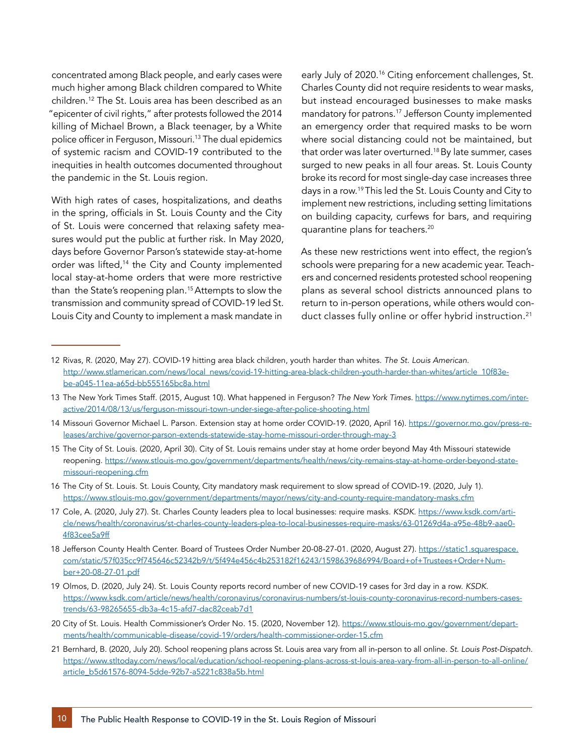concentrated among Black people, and early cases were much higher among Black children compared to White children.12 The St. Louis area has been described as an "epicenter of civil rights," after protests followed the 2014 killing of Michael Brown, a Black teenager, by a White police officer in Ferguson, Missouri.13 The dual epidemics of systemic racism and COVID-19 contributed to the inequities in health outcomes documented throughout the pandemic in the St. Louis region.

With high rates of cases, hospitalizations, and deaths in the spring, officials in St. Louis County and the City of St. Louis were concerned that relaxing safety measures would put the public at further risk. In May 2020, days before Governor Parson's statewide stay-at-home order was lifted,<sup>14</sup> the City and County implemented local stay-at-home orders that were more restrictive than the State's reopening plan.<sup>15</sup> Attempts to slow the transmission and community spread of COVID-19 led St. Louis City and County to implement a mask mandate in

early July of 2020.<sup>16</sup> Citing enforcement challenges, St. Charles County did not require residents to wear masks, but instead encouraged businesses to make masks mandatory for patrons.17 Jefferson County implemented an emergency order that required masks to be worn where social distancing could not be maintained, but that order was later overturned.<sup>18</sup> By late summer, cases surged to new peaks in all four areas. St. Louis County broke its record for most single-day case increases three days in a row.19 This led the St. Louis County and City to implement new restrictions, including setting limitations on building capacity, curfews for bars, and requiring quarantine plans for teachers.20

As these new restrictions went into effect, the region's schools were preparing for a new academic year. Teachers and concerned residents protested school reopening plans as several school districts announced plans to return to in-person operations, while others would conduct classes fully online or offer hybrid instruction.<sup>21</sup>

- 12 Rivas, R. (2020, May 27). COVID-19 hitting area black children, youth harder than whites. *The St. Louis American.*  [http://www.stlamerican.com/news/local\\_news/covid-19-hitting-area-black-children-youth-harder-than-whites/article\\_10f83e](http://www.stlamerican.com/news/local_news/covid-19-hitting-area-black-children-youth-harder-than-whites/article_10f83ebe-a045-11ea-a65d-bb555165bc8a.html)[be-a045-11ea-a65d-bb555165bc8a.html](http://www.stlamerican.com/news/local_news/covid-19-hitting-area-black-children-youth-harder-than-whites/article_10f83ebe-a045-11ea-a65d-bb555165bc8a.html)
- 13 The New York Times Staff. (2015, August 10). What happened in Ferguson? *The New York Times.* [https://www.nytimes.com/inter](https://www.nytimes.com/interactive/2014/08/13/us/ferguson-missouri-town-under-siege-after-police-shooting.html)[active/2014/08/13/us/ferguson-missouri-town-under-siege-after-police-shooting.html](https://www.nytimes.com/interactive/2014/08/13/us/ferguson-missouri-town-under-siege-after-police-shooting.html)
- 14 Missouri Governor Michael L. Parson. Extension stay at home order COVID-19. (2020, April 16). [https://governor.mo.gov/press-re](https://governor.mo.gov/press-releases/archive/governor-parson-extends-statewide-stay-home-missouri-order-through-may-3)[leases/archive/governor-parson-extends-statewide-stay-home-missouri-order-through-may-3](https://governor.mo.gov/press-releases/archive/governor-parson-extends-statewide-stay-home-missouri-order-through-may-3)
- 15 The City of St. Louis. (2020, April 30). City of St. Louis remains under stay at home order beyond May 4th Missouri statewide reopening. [https://www.stlouis-mo.gov/government/departments/health/news/city-remains-stay-at-home-order-beyond-state](https://www.stlouis-mo.gov/government/departments/health/news/city-remains-stay-at-home-order-beyond-state-missouri-reopening.cfm)[missouri-reopening.cfm](https://www.stlouis-mo.gov/government/departments/health/news/city-remains-stay-at-home-order-beyond-state-missouri-reopening.cfm)
- 16 The City of St. Louis. St. Louis County, City mandatory mask requirement to slow spread of COVID-19. (2020, July 1). <https://www.stlouis-mo.gov/government/departments/mayor/news/city-and-county-require-mandatory-masks.cfm>
- 17 Cole, A. (2020, July 27). St. Charles County leaders plea to local businesses: require masks. *KSDK*. [https://www.ksdk.com/arti](https://www.ksdk.com/article/news/health/coronavirus/st-charles-county-leaders-plea-to-local-businesses-require-masks/63-01269d4a-a95e-48b9-aae0-4f83cee5a9ff)[cle/news/health/coronavirus/st-charles-county-leaders-plea-to-local-businesses-require-masks/63-01269d4a-a95e-48b9-aae0-](https://www.ksdk.com/article/news/health/coronavirus/st-charles-county-leaders-plea-to-local-businesses-require-masks/63-01269d4a-a95e-48b9-aae0-4f83cee5a9ff) [4f83cee5a9ff](https://www.ksdk.com/article/news/health/coronavirus/st-charles-county-leaders-plea-to-local-businesses-require-masks/63-01269d4a-a95e-48b9-aae0-4f83cee5a9ff)
- 18 Jefferson County Health Center. Board of Trustees Order Number 20-08-27-01. (2020, August 27). [https://static1.squarespace.](https://static1.squarespace.com/static/57f035cc9f745646c52342b9/t/5f494e456c4b253182f16243/1598639686994/Board+of+Trustees+Order+Number+20-08-27-01.pdf) [com/static/57f035cc9f745646c52342b9/t/5f494e456c4b253182f16243/1598639686994/Board+of+Trustees+Order+Num](https://static1.squarespace.com/static/57f035cc9f745646c52342b9/t/5f494e456c4b253182f16243/1598639686994/Board+of+Trustees+Order+Number+20-08-27-01.pdf)[ber+20-08-27-01.pdf](https://static1.squarespace.com/static/57f035cc9f745646c52342b9/t/5f494e456c4b253182f16243/1598639686994/Board+of+Trustees+Order+Number+20-08-27-01.pdf)
- 19 Olmos, D. (2020, July 24). St. Louis County reports record number of new COVID-19 cases for 3rd day in a row. *KSDK*. [https://www.ksdk.com/article/news/health/coronavirus/coronavirus-numbers/st-louis-county-coronavirus-record-numbers-cases](https://www.ksdk.com/article/news/health/coronavirus/coronavirus-numbers/st-louis-county-coronavirus-record-numbers-cases-trends/63-98265655-db3a-4c15-afd7-dac82ceab7d1)[trends/63-98265655-db3a-4c15-afd7-dac82ceab7d1](https://www.ksdk.com/article/news/health/coronavirus/coronavirus-numbers/st-louis-county-coronavirus-record-numbers-cases-trends/63-98265655-db3a-4c15-afd7-dac82ceab7d1)
- 20 City of St. Louis. Health Commissioner's Order No. 15. (2020, November 12). [https://www.stlouis-mo.gov/government/depart](https://www.stlouis-mo.gov/government/departments/health/communicable-disease/covid-19/orders/health-commissioner-order-15.cfm)[ments/health/communicable-disease/covid-19/orders/health-commissioner-order-15.cfm](https://www.stlouis-mo.gov/government/departments/health/communicable-disease/covid-19/orders/health-commissioner-order-15.cfm)
- 21 Bernhard, B. (2020, July 20). School reopening plans across St. Louis area vary from all in-person to all online. *St. Louis Post-Dispatch*. [https://www.stltoday.com/news/local/education/school-reopening-plans-across-st-louis-area-vary-from-all-in-person-to-all-online/](https://www.stltoday.com/news/local/education/school-reopening-plans-across-st-louis-area-vary-from-all-in-person-to-all-online/article_b5d61576-8094-5dde-92b7-a5221c838a5b.html) [article\\_b5d61576-8094-5dde-92b7-a5221c838a5b.html](https://www.stltoday.com/news/local/education/school-reopening-plans-across-st-louis-area-vary-from-all-in-person-to-all-online/article_b5d61576-8094-5dde-92b7-a5221c838a5b.html)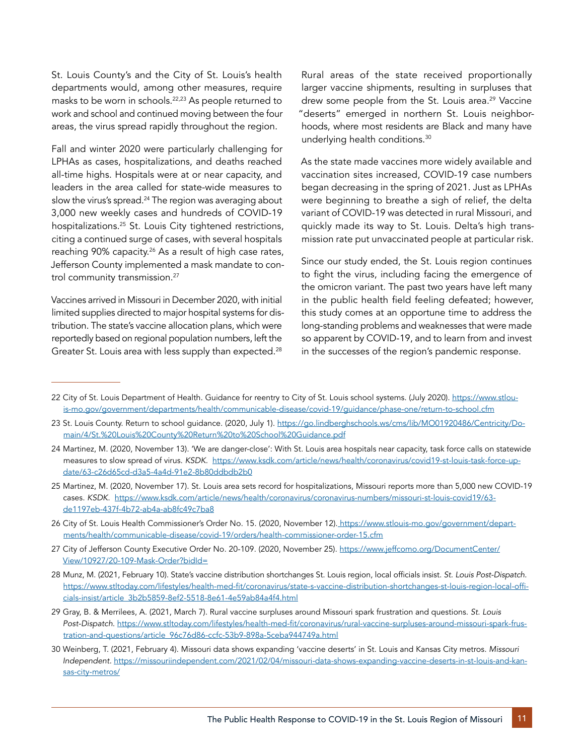St. Louis County's and the City of St. Louis's health departments would, among other measures, require masks to be worn in schools.<sup>22,23</sup> As people returned to work and school and continued moving between the four areas, the virus spread rapidly throughout the region.

Fall and winter 2020 were particularly challenging for LPHAs as cases, hospitalizations, and deaths reached all-time highs. Hospitals were at or near capacity, and leaders in the area called for state-wide measures to slow the virus's spread. $^{24}$  The region was averaging about 3,000 new weekly cases and hundreds of COVID-19 hospitalizations.25 St. Louis City tightened restrictions, citing a continued surge of cases, with several hospitals reaching 90% capacity.<sup>26</sup> As a result of high case rates, Jefferson County implemented a mask mandate to control community transmission.<sup>27</sup>

Vaccines arrived in Missouri in December 2020, with initial limited supplies directed to major hospital systems for distribution. The state's vaccine allocation plans, which were reportedly based on regional population numbers, left the Greater St. Louis area with less supply than expected.<sup>28</sup>

Rural areas of the state received proportionally larger vaccine shipments, resulting in surpluses that drew some people from the St. Louis area.<sup>29</sup> Vaccine "deserts" emerged in northern St. Louis neighborhoods, where most residents are Black and many have underlying health conditions.30

As the state made vaccines more widely available and vaccination sites increased, COVID-19 case numbers began decreasing in the spring of 2021. Just as LPHAs were beginning to breathe a sigh of relief, the delta variant of COVID-19 was detected in rural Missouri, and quickly made its way to St. Louis. Delta's high transmission rate put unvaccinated people at particular risk.

Since our study ended, the St. Louis region continues to fight the virus, including facing the emergence of the omicron variant. The past two years have left many in the public health field feeling defeated; however, this study comes at an opportune time to address the long-standing problems and weaknesses that were made so apparent by COVID-19, and to learn from and invest in the successes of the region's pandemic response.

- 26 City of St. Louis Health Commissioner's Order No. 15. (2020, November 12). [https://www.stlouis-mo.gov/government/depart](https://www.stlouis-mo.gov/government/departments/health/communicable-disease/covid-19/orders/health-commissioner-order-15.cfm)[ments/health/communicable-disease/covid-19/orders/health-commissioner-order-15.cfm](https://www.stlouis-mo.gov/government/departments/health/communicable-disease/covid-19/orders/health-commissioner-order-15.cfm)
- 27 City of Jefferson County Executive Order No. 20-109. (2020, November 25). [https://www.jeffcomo.org/DocumentCenter/](https://www.jeffcomo.org/DocumentCenter/View/10927/20-109-Mask-Order?bidId=) [View/10927/20-109-Mask-Order?bidId=](https://www.jeffcomo.org/DocumentCenter/View/10927/20-109-Mask-Order?bidId=)
- 28 Munz, M. (2021, February 10). State's vaccine distribution shortchanges St. Louis region, local officials insist. *St. Louis Post-Dispatch.* [https://www.stltoday.com/lifestyles/health-med-fit/coronavirus/state-s-vaccine-distribution-shortchanges-st-louis-region-local-offi](https://www.stltoday.com/lifestyles/health-med-fit/coronavirus/state-s-vaccine-distribution-shortchanges-st-louis-region-local-officials-insist/article_3b2b5859-8ef2-5518-8e61-4e59ab84a4f4.html)[cials-insist/article\\_3b2b5859-8ef2-5518-8e61-4e59ab84a4f4.html](https://www.stltoday.com/lifestyles/health-med-fit/coronavirus/state-s-vaccine-distribution-shortchanges-st-louis-region-local-officials-insist/article_3b2b5859-8ef2-5518-8e61-4e59ab84a4f4.html)
- 29 Gray, B. & Merrilees, A. (2021, March 7). Rural vaccine surpluses around Missouri spark frustration and questions. *St. Louis Post-Dispatch*. [https://www.stltoday.com/lifestyles/health-med-fit/coronavirus/rural-vaccine-surpluses-around-missouri-spark-frus](https://www.stltoday.com/lifestyles/health-med-fit/coronavirus/rural-vaccine-surpluses-around-missouri-spark-frustration-and-questions/article_96c76d86-ccfc-53b9-898a-5ceba944749a.html)[tration-and-questions/article\\_96c76d86-ccfc-53b9-898a-5ceba944749a.html](https://www.stltoday.com/lifestyles/health-med-fit/coronavirus/rural-vaccine-surpluses-around-missouri-spark-frustration-and-questions/article_96c76d86-ccfc-53b9-898a-5ceba944749a.html)
- 30 Weinberg, T. (2021, February 4). Missouri data shows expanding 'vaccine deserts' in St. Louis and Kansas City metros. *Missouri Independent.* [https://missouriindependent.com/2021/02/04/missouri-data-shows-expanding-vaccine-deserts-in-st-louis-and-kan](https://missouriindependent.com/2021/02/04/missouri-data-shows-expanding-vaccine-deserts-in-st-louis-and-kansas-city-metros/)[sas-city-metros/](https://missouriindependent.com/2021/02/04/missouri-data-shows-expanding-vaccine-deserts-in-st-louis-and-kansas-city-metros/)

<sup>22</sup> City of St. Louis Department of Health. Guidance for reentry to City of St. Louis school systems. (July 2020). [https://www.stlou](https://www.stlouis-mo.gov/government/departments/health/communicable-disease/covid-19/guidance/phase-one/return-to-school.cfm)[is-mo.gov/government/departments/health/communicable-disease/covid-19/guidance/phase-one/return-to-school.cfm](https://www.stlouis-mo.gov/government/departments/health/communicable-disease/covid-19/guidance/phase-one/return-to-school.cfm)

<sup>23</sup> St. Louis County. Return to school guidance. (2020, July 1). [https://go.lindberghschools.ws/cms/lib/MO01920486/Centricity/Do](https://go.lindberghschools.ws/cms/lib/MO01920486/Centricity/Domain/4/St.%20Louis%20County%20Return%20to%20School%20Guidance.pdf)[main/4/St.%20Louis%20County%20Return%20to%20School%20Guidance.pdf](https://go.lindberghschools.ws/cms/lib/MO01920486/Centricity/Domain/4/St.%20Louis%20County%20Return%20to%20School%20Guidance.pdf)

<sup>24</sup> Martinez, M. (2020, November 13). 'We are danger-close': With St. Louis area hospitals near capacity, task force calls on statewide measures to slow spread of virus. *KSDK.* [https://www.ksdk.com/article/news/health/coronavirus/covid19-st-louis-task-force-up](https://www.ksdk.com/article/news/health/coronavirus/covid19-st-louis-task-force-update/63-c26d65cd-d3a5-4a4d-91e2-8b80ddbdb2b0)[date/63-c26d65cd-d3a5-4a4d-91e2-8b80ddbdb2b0](https://www.ksdk.com/article/news/health/coronavirus/covid19-st-louis-task-force-update/63-c26d65cd-d3a5-4a4d-91e2-8b80ddbdb2b0)

<sup>25</sup> Martinez, M. (2020, November 17). St. Louis area sets record for hospitalizations, Missouri reports more than 5,000 new COVID-19 cases. *KSDK*. [https://www.ksdk.com/article/news/health/coronavirus/coronavirus-numbers/missouri-st-louis-covid19/63](https://www.ksdk.com/article/news/health/coronavirus/coronavirus-numbers/missouri-st-louis-covid19/63-de1197eb-437f-4b72-ab4a-ab8fc49c7ba8) [de1197eb-437f-4b72-ab4a-ab8fc49c7ba8](https://www.ksdk.com/article/news/health/coronavirus/coronavirus-numbers/missouri-st-louis-covid19/63-de1197eb-437f-4b72-ab4a-ab8fc49c7ba8)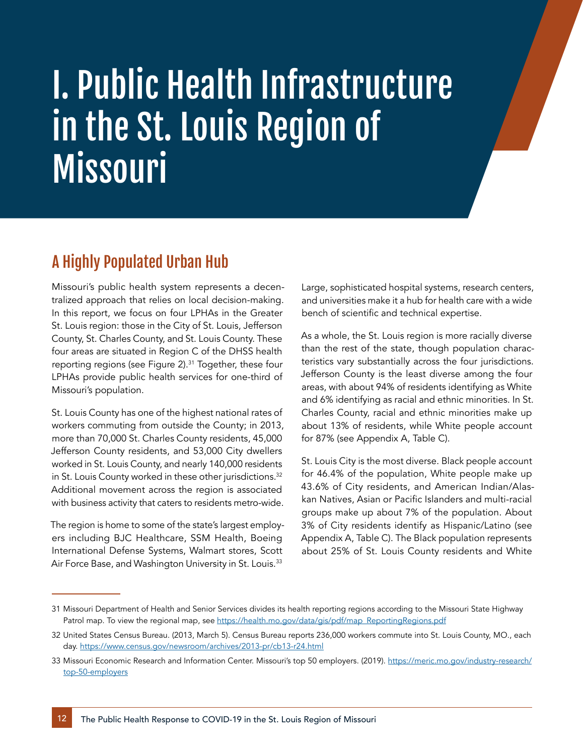# I. Public Health Infrastructure in the St. Louis Region of Missouri

## A Highly Populated Urban Hub

Missouri's public health system represents a decentralized approach that relies on local decision-making. In this report, we focus on four LPHAs in the Greater St. Louis region: those in the City of St. Louis, Jefferson County, St. Charles County, and St. Louis County. These four areas are situated in Region C of the DHSS health reporting regions (see Figure 2).<sup>31</sup> Together, these four LPHAs provide public health services for one-third of Missouri's population.

St. Louis County has one of the highest national rates of workers commuting from outside the County; in 2013, more than 70,000 St. Charles County residents, 45,000 Jefferson County residents, and 53,000 City dwellers worked in St. Louis County, and nearly 140,000 residents in St. Louis County worked in these other jurisdictions.<sup>32</sup> Additional movement across the region is associated with business activity that caters to residents metro-wide.

The region is home to some of the state's largest employers including BJC Healthcare, SSM Health, Boeing International Defense Systems, Walmart stores, Scott Air Force Base, and Washington University in St. Louis.<sup>33</sup>

Large, sophisticated hospital systems, research centers, and universities make it a hub for health care with a wide bench of scientific and technical expertise.

As a whole, the St. Louis region is more racially diverse than the rest of the state, though population characteristics vary substantially across the four jurisdictions. Jefferson County is the least diverse among the four areas, with about 94% of residents identifying as White and 6% identifying as racial and ethnic minorities. In St. Charles County, racial and ethnic minorities make up about 13% of residents, while White people account for 87% (see Appendix A, Table C).

St. Louis City is the most diverse. Black people account for 46.4% of the population, White people make up 43.6% of City residents, and American Indian/Alaskan Natives, Asian or Pacific Islanders and multi-racial groups make up about 7% of the population. About 3% of City residents identify as Hispanic/Latino (see Appendix A, Table C). The Black population represents about 25% of St. Louis County residents and White

<sup>31</sup> Missouri Department of Health and Senior Services divides its health reporting regions according to the Missouri State Highway Patrol map. To view the regional map, se[e https://health.mo.gov/data/gis/pdf/map\\_ReportingRegions.pdf](https://health.mo.gov/data/gis/pdf/map_ReportingRegions.pdf)

<sup>32</sup> United States Census Bureau. (2013, March 5). Census Bureau reports 236,000 workers commute into St. Louis County, MO., each day.<https://www.census.gov/newsroom/archives/2013-pr/cb13-r24.html>

<sup>33</sup> Missouri Economic Research and Information Center. Missouri's top 50 employers. (2019). [https://meric.mo.gov/industry-research/](https://meric.mo.gov/industry-research/top-50-employers) [top-50-employers](https://meric.mo.gov/industry-research/top-50-employers)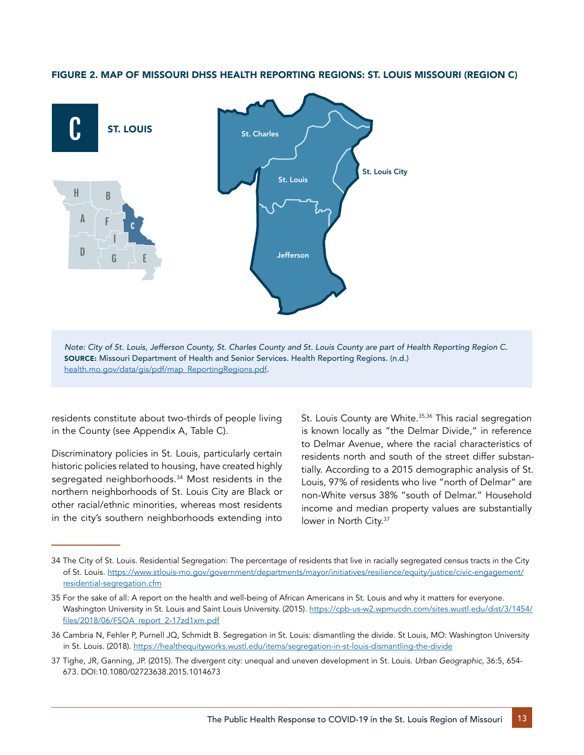

#### FIGURE 2. MAP OF MISSOURI DHSS HEALTH REPORTING REGIONS: ST. LOUIS MISSOURI (REGION C)

Note: City of St. Louis, Jefferson County, St. Charles County and St. Louis County are part of Health Reporting Region C. SOURCE: Missouri Department of Health and Senior Services. Health Reporting Regions. (n.d.) [health.mo.gov/data/gis/pdf/map\\_ReportingRegions.pdf](http://health.mo.gov/data/gis/pdf/map_ReportingRegions.pdf).

residents constitute about two-thirds of people living in the County (see Appendix A, Table C).

Discriminatory policies in St. Louis, particularly certain historic policies related to housing, have created highly segregated neighborhoods.<sup>34</sup> Most residents in the northern neighborhoods of St. Louis City are Black or other racial/ethnic minorities, whereas most residents in the city's southern neighborhoods extending into St. Louis County are White.<sup>35,36</sup> This racial segregation is known locally as "the Delmar Divide," in reference to Delmar Avenue, where the racial characteristics of residents north and south of the street differ substantially. According to a 2015 demographic analysis of St. Louis, 97% of residents who live "north of Delmar" are non-White versus 38% "south of Delmar." Household income and median property values are substantially lower in North City.<sup>37</sup>

<sup>34</sup> The City of St. Louis. Residential Segregation: The percentage of residents that live in racially segregated census tracts in the City of St. Louis. [https://www.stlouis-mo.gov/government/departments/mayor/initiatives/resilience/equity/justice/civic-engagement/](https://www.stlouis-mo.gov/government/departments/mayor/initiatives/resilience/equity/justice/civic-engagement/residential-segregation.cfm) [residential-segregation.cfm](https://www.stlouis-mo.gov/government/departments/mayor/initiatives/resilience/equity/justice/civic-engagement/residential-segregation.cfm)

<sup>35</sup> For the sake of all: A report on the health and well-being of African Americans in St. Louis and why it matters for everyone. Washington University in St. Louis and Saint Louis University. (2015). [https://cpb-us-w2.wpmucdn.com/sites.wustl.edu/dist/3/1454/](https://cpb-us-w2.wpmucdn.com/sites.wustl.edu/dist/3/1454/files/2018/06/FSOA_report_2-17zd1xm.pdf) [files/2018/06/FSOA\\_report\\_2-17zd1xm.pdf](https://cpb-us-w2.wpmucdn.com/sites.wustl.edu/dist/3/1454/files/2018/06/FSOA_report_2-17zd1xm.pdf)

<sup>36</sup> Cambria N, Fehler P, Purnell JQ, Schmidt B. Segregation in St. Louis: dismantling the divide. St Louis, MO: Washington University in St. Louis. (2018). [https://healthequityworks.wustl.edu/items/segregation-in-st-louis-dismantling-the-divide](https://healthequityworks.wustl.edu/items/segregation-in-st-louis-dismantling-the-divide/)

<sup>37</sup> Tighe, JR, Ganning, JP. (2015). The divergent city: unequal and uneven development in St. Louis. *Urban Geographic,* 36:5, 654- 673. DOI:10.1080/02723638.2015.1014673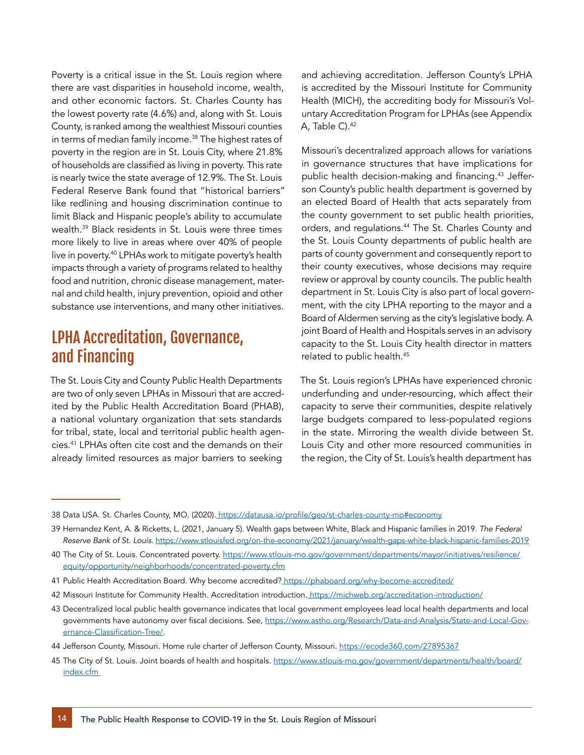Poverty is a critical issue in the St. Louis region where there are vast disparities in household income, wealth, and other economic factors. St. Charles County has the lowest poverty rate (4.6%) and, along with St. Louis County, is ranked among the wealthiest Missouri counties in terms of median family income.38 The highest rates of poverty in the region are in St. Louis City, where 21.8% of households are classified as living in poverty. This rate is nearly twice the state average of 12.9%. The St. Louis Federal Reserve Bank found that "historical barriers" like redlining and housing discrimination continue to limit Black and Hispanic people's ability to accumulate wealth.39 Black residents in St. Louis were three times more likely to live in areas where over 40% of people live in poverty.40 LPHAs work to mitigate poverty's health impacts through a variety of programs related to healthy food and nutrition, chronic disease management, maternal and child health, injury prevention, opioid and other substance use interventions, and many other initiatives.

### LPHA Accreditation, Governance, and Financing

The St. Louis City and County Public Health Departments are two of only seven LPHAs in Missouri that are accredited by the Public Health Accreditation Board (PHAB), a national voluntary organization that sets standards for tribal, state, local and territorial public health agencies.41 LPHAs often cite cost and the demands on their already limited resources as major barriers to seeking

and achieving accreditation. Jefferson County's LPHA is accredited by the Missouri Institute for Community Health (MICH), the accrediting body for Missouri's Voluntary Accreditation Program for LPHAs (see Appendix A, Table C).<sup>42</sup>

Missouri's decentralized approach allows for variations in governance structures that have implications for public health decision-making and financing.<sup>43</sup> Jefferson County's public health department is governed by an elected Board of Health that acts separately from the county government to set public health priorities, orders, and regulations.<sup>44</sup> The St. Charles County and the St. Louis County departments of public health are parts of county government and consequently report to their county executives, whose decisions may require review or approval by county councils. The public health department in St. Louis City is also part of local government, with the city LPHA reporting to the mayor and a Board of Aldermen serving as the city's legislative body. A joint Board of Health and Hospitals serves in an advisory capacity to the St. Louis City health director in matters related to public health.45

The St. Louis region's LPHAs have experienced chronic underfunding and under-resourcing, which affect their capacity to serve their communities, despite relatively large budgets compared to less-populated regions in the state. Mirroring the wealth divide between St. Louis City and other more resourced communities in the region, the City of St. Louis's health department has

<sup>38</sup> Data USA. St. Charles County, MO. (2020). https://datausa.io/profile/geo/st-charles-county-mo#economy

<sup>39</sup> Hernandez Kent, A. & Ricketts, L. (2021, January 5). Wealth gaps between White, Black and Hispanic families in 2019. *The Federal Reserve Bank of St. Louis.* <https://www.stlouisfed.org/on-the-economy/2021/january/wealth-gaps-white-black-hispanic-families-2019>

<sup>40</sup> The City of St. Louis. Concentrated poverty. [https://www.stlouis-mo.gov/government/departments/mayor/initiatives/resilience/](https://www.stlouis-mo.gov/government/departments/mayor/initiatives/resilience/equity/opportunity/neighborhoods/concentrated-poverty.cfm) [equity/opportunity/neighborhoods/concentrated-poverty.cfm](https://www.stlouis-mo.gov/government/departments/mayor/initiatives/resilience/equity/opportunity/neighborhoods/concentrated-poverty.cfm)

<sup>41</sup> Public Health Accreditation Board. Why become accredited?<https://phaboard.org/why-become-accredited/>

<sup>42</sup> Missouri Institute for Community Health. Accreditation introduction.<https://michweb.org/accreditation-introduction/>

<sup>43</sup> Decentralized local public health governance indicates that local government employees lead local health departments and local governmentshave autonomy over fiscal decisions. See, [https://www.astho.org/Research/Data-and-Analysis/State-and-Local-Gov](https://www.astho.org/Research/Data-and-Analysis/State-and-Local-Governance-Classification-Tree/)[ernance-Classification-Tree/](https://www.astho.org/Research/Data-and-Analysis/State-and-Local-Governance-Classification-Tree/).

<sup>44</sup> Jefferson County, Missouri. Home rule charter of Jefferson County, Missouri. <https://ecode360.com/27895367>

<sup>45</sup> The City of St. Louis. Joint boards of health and hospitals. [https://www.stlouis-mo.gov/government/departments/health/board/](https://www.stlouis-mo.gov/government/departments/health/board/index.cfm) [index.cfm](https://www.stlouis-mo.gov/government/departments/health/board/index.cfm)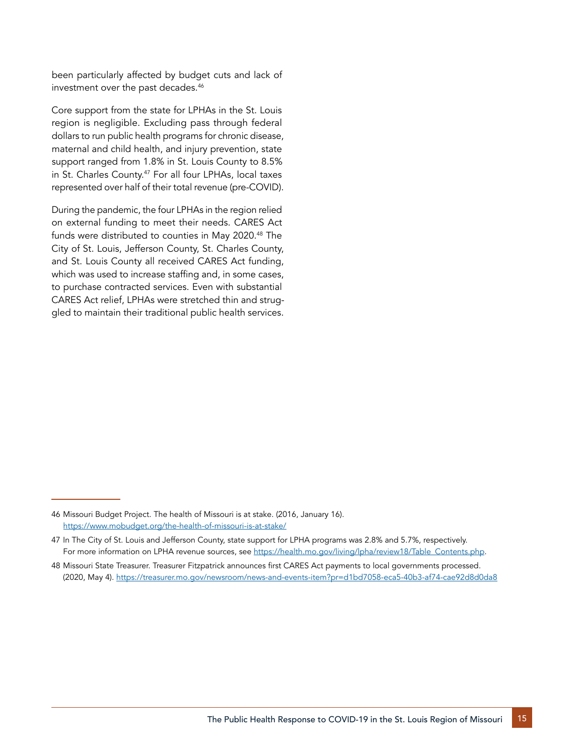been particularly affected by budget cuts and lack of investment over the past decades.46

Core support from the state for LPHAs in the St. Louis region is negligible. Excluding pass through federal dollars to run public health programs for chronic disease, maternal and child health, and injury prevention, state support ranged from 1.8% in St. Louis County to 8.5% in St. Charles County.<sup>47</sup> For all four LPHAs, local taxes represented over half of their total revenue (pre-COVID).

During the pandemic, the four LPHAs in the region relied on external funding to meet their needs. CARES Act funds were distributed to counties in May 2020.<sup>48</sup> The City of St. Louis, Jefferson County, St. Charles County, and St. Louis County all received CARES Act funding, which was used to increase staffing and, in some cases, to purchase contracted services. Even with substantial CARES Act relief, LPHAs were stretched thin and struggled to maintain their traditional public health services.

<sup>46</sup> Missouri Budget Project. The health of Missouri is at stake. (2016, January 16)[.](https://www.mobudget.org/the-health-of-missouri-is-at-stake/)  <https://www.mobudget.org/the-health-of-missouri-is-at-stake/>

<sup>47</sup> In The City of St. Louis and Jefferson County, state support for LPHA programs was 2.8% and 5.7%, respectively. For more information on LPHA revenue sources, see [https://health.mo.gov/living/lpha/review18/Table\\_Contents.php](https://health.mo.gov/living/lpha/review18/Table_Contents.php).

<sup>48</sup> Missouri State Treasurer. Treasurer Fitzpatrick announces first CARES Act payments to local governments processed. (2020, May 4).<https://treasurer.mo.gov/newsroom/news-and-events-item?pr=d1bd7058-eca5-40b3-af74-cae92d8d0da8>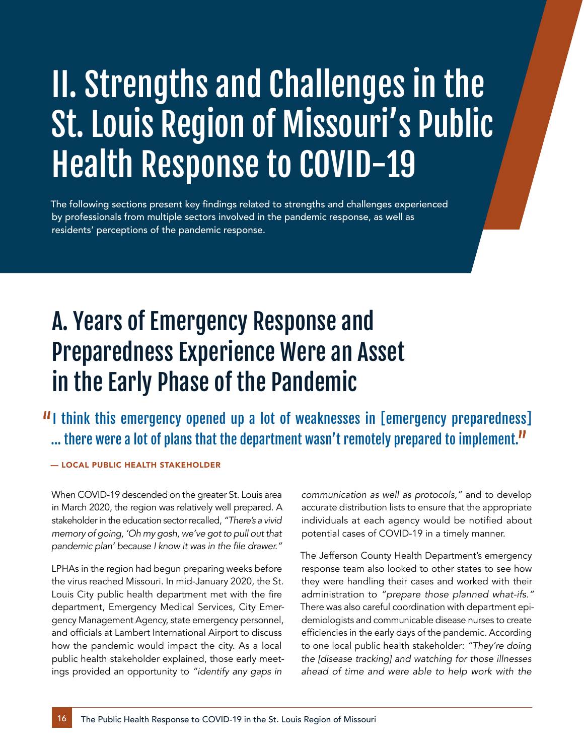# II. Strengths and Challenges in the St. Louis Region of Missouri's Public Health Response to COVID-19

The following sections present key findings related to strengths and challenges experienced by professionals from multiple sectors involved in the pandemic response, as well as residents' perceptions of the pandemic response.

# A. Years of Emergency Response and Preparedness Experience Were an Asset in the Early Phase of the Pandemic

**II** think this emergency opened up a lot of weaknesses in [emergency preparedness] ... there were a lot of plans that the department wasn't remotely prepared to implement."

#### — LOCAL PUBLIC HEALTH STAKEHOLDER

When COVID-19 descended on the greater St. Louis area in March 2020, the region was relatively well prepared. A stakeholder in the education sector recalled, *"There's a vivid memory of going, 'Oh my gosh, we've got to pull out that*  pandemic plan' because I know it was in the file drawer."

LPHAs in the region had begun preparing weeks before the virus reached Missouri. In mid-January 2020, the St. Louis City public health department met with the fire department, Emergency Medical Services, City Emergency Management Agency, state emergency personnel, and officials at Lambert International Airport to discuss how the pandemic would impact the city. As a local public health stakeholder explained, those early meetings provided an opportunity to *"identify any gaps in* 

communication as well as protocols," and to develop accurate distribution lists to ensure that the appropriate individuals at each agency would be notified about potential cases of COVID-19 in a timely manner.

The Jefferson County Health Department's emergency response team also looked to other states to see how they were handling their cases and worked with their administration to "prepare those planned what-ifs." There was also careful coordination with department epidemiologists and communicable disease nurses to create efficiencies in the early days of the pandemic. According to one local public health stakeholder: *"They're doing the [disease tracking] and watching for those illnesses ahead of time and were able to help work with the*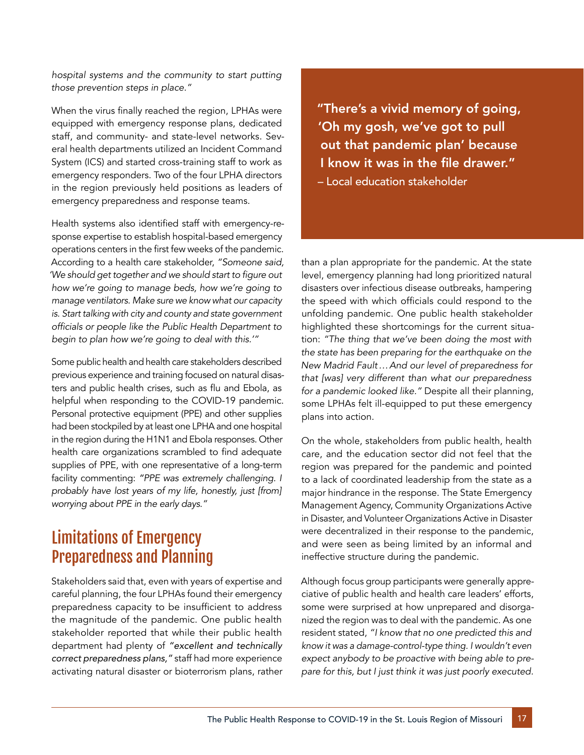*hospital systems and the community to start putting*  those prevention steps in place."

When the virus finally reached the region, LPHAs were equipped with emergency response plans, dedicated staff, and community- and state-level networks. Several health departments utilized an Incident Command System (ICS) and started cross-training staff to work as emergency responders. Two of the four LPHA directors in the region previously held positions as leaders of emergency preparedness and response teams.

Health systems also identified staff with emergency-response expertise to establish hospital-based emergency operations centers in the first few weeks of the pandemic. According to a health care stakeholder, *"Someone said,*  'We should get together and we should start to figure out *how we're going to manage beds, how we're going to manage ventilators. Make sure we know what our capacity is. Start talking with city and county and state government*  officials or people like the Public Health Department to begin to plan how we're going to deal with this.'"

Some public health and health care stakeholders described previous experience and training focused on natural disasters and public health crises, such as flu and Ebola, as helpful when responding to the COVID-19 pandemic. Personal protective equipment (PPE) and other supplies had been stockpiled by at least one LPHA and one hospital in the region during the H1N1 and Ebola responses. Other health care organizations scrambled to find adequate supplies of PPE, with one representative of a long-term facility commenting: *"PPE was extremely challenging. I probably have lost years of my life, honestly, just [from]*  worrying about PPE in the early days."

### Limitations of Emergency Preparedness and Planning

Stakeholders said that, even with years of expertise and careful planning, the four LPHAs found their emergency preparedness capacity to be insufficient to address the magnitude of the pandemic. One public health stakeholder reported that while their public health department had plenty of *"excellent and technically correct preparedness plans,"* staff had more experience activating natural disaster or bioterrorism plans, rather "There's a vivid memory of going, 'Oh my gosh, we've got to pull out that pandemic plan' because I know it was in the file drawer." – Local education stakeholder

than a plan appropriate for the pandemic. At the state level, emergency planning had long prioritized natural disasters over infectious disease outbreaks, hampering the speed with which officials could respond to the unfolding pandemic. One public health stakeholder highlighted these shortcomings for the current situation: *"The thing that we've been doing the most with the state has been preparing for the earthquake on the New Madrid Fault…And our level of preparedness for that [was] very different than what our preparedness*  for a pandemic looked like." Despite all their planning, some LPHAs felt ill-equipped to put these emergency plans into action.

On the whole, stakeholders from public health, health care, and the education sector did not feel that the region was prepared for the pandemic and pointed to a lack of coordinated leadership from the state as a major hindrance in the response. The State Emergency Management Agency, Community Organizations Active in Disaster, and Volunteer Organizations Active in Disaster were decentralized in their response to the pandemic, and were seen as being limited by an informal and ineffective structure during the pandemic.

Although focus group participants were generally appreciative of public health and health care leaders' efforts, some were surprised at how unprepared and disorganized the region was to deal with the pandemic. As one resident stated, *"I know that no one predicted this and know it was a damage-control-type thing. I wouldn't even expect anybody to be proactive with being able to prepare for this, but I just think it was just poorly executed.*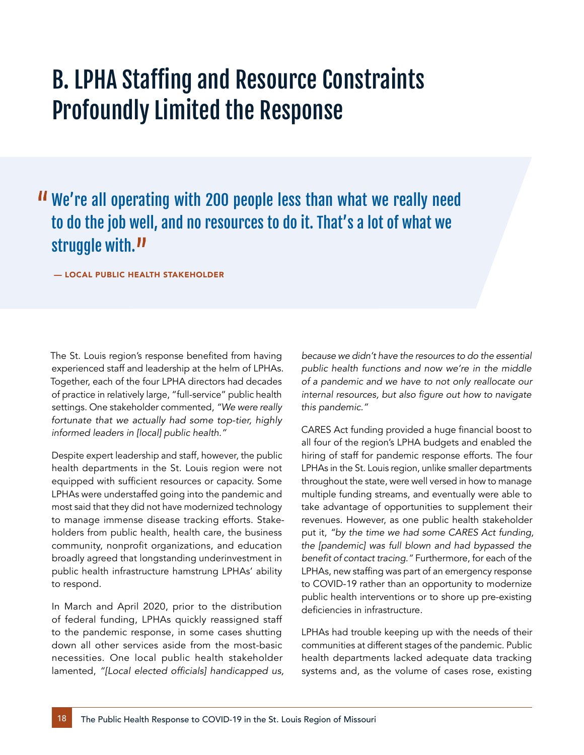# B. LPHA Staffing and Resource Constraints Profoundly Limited the Response

## We're all operating with 200 people less than what we really need to do the job well, and no resources to do it. That's a lot of what we struggle with.<sup>11</sup>

— LOCAL PUBLIC HEALTH STAKEHOLDER

The St. Louis region's response benefited from having experienced staff and leadership at the helm of LPHAs. Together, each of the four LPHA directors had decades of practice in relatively large, "full-service" public health settings. One stakeholder commented, *"We were really fortunate that we actually had some top-tier, highly*  informed leaders in [local] public health."

Despite expert leadership and staff, however, the public health departments in the St. Louis region were not equipped with sufficient resources or capacity. Some LPHAs were understaffed going into the pandemic and most said that they did not have modernized technology to manage immense disease tracking efforts. Stakeholders from public health, health care, the business community, nonprofit organizations, and education broadly agreed that longstanding underinvestment in public health infrastructure hamstrung LPHAs' ability to respond.

In March and April 2020, prior to the distribution of federal funding, LPHAs quickly reassigned staff to the pandemic response, in some cases shutting down all other services aside from the most-basic necessities. One local public health stakeholder lamented, "[Local elected officials] handicapped us, *because we didn't have the resources to do the essential public health functions and now we're in the middle of a pandemic and we have to not only reallocate our*  internal resources, but also figure out how to navigate this pandemic."

CARES Act funding provided a huge financial boost to all four of the region's LPHA budgets and enabled the hiring of staff for pandemic response efforts. The four LPHAs in the St. Louis region, unlike smaller departments throughout the state, were well versed in how to manage multiple funding streams, and eventually were able to take advantage of opportunities to supplement their revenues. However, as one public health stakeholder put it, *"by the time we had some CARES Act funding, the [pandemic] was full blown and had bypassed the*  benefit of contact tracing." Furthermore, for each of the LPHAs, new staffing was part of an emergency response to COVID-19 rather than an opportunity to modernize public health interventions or to shore up pre-existing deficiencies in infrastructure.

LPHAs had trouble keeping up with the needs of their communities at different stages of the pandemic. Public health departments lacked adequate data tracking systems and, as the volume of cases rose, existing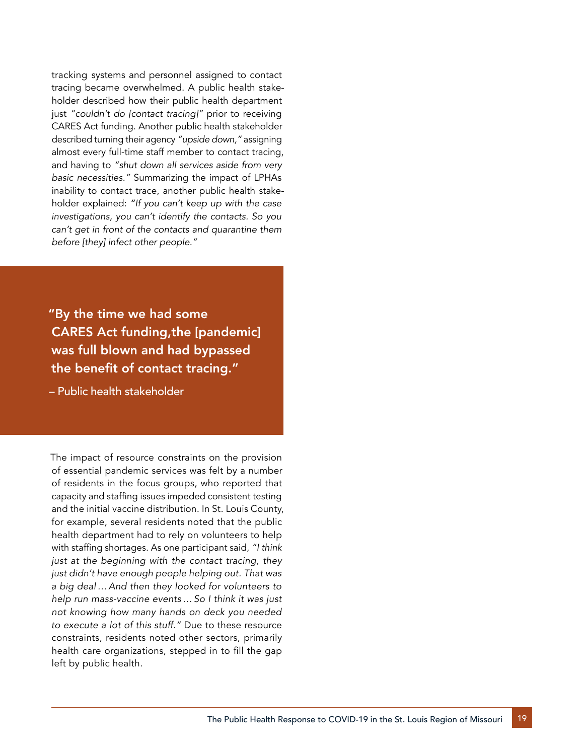tracking systems and personnel assigned to contact tracing became overwhelmed. A public health stakeholder described how their public health department just "couldn't do [contact tracing]" prior to receiving CARES Act funding. Another public health stakeholder described turning their agency "upside down," assigning almost every full-time staff member to contact tracing, and having to *"shut down all services aside from very*  basic necessities." Summarizing the impact of LPHAs inability to contact trace, another public health stakeholder explained: *"If you can't keep up with the case investigations, you can't identify the contacts. So you can't get in front of the contacts and quarantine them*  before [they] infect other people."

"By the time we had some CARES Act funding,the [pandemic] was full blown and had bypassed the benefit of contact tracing."

– Public health stakeholder

The impact of resource constraints on the provision of essential pandemic services was felt by a number of residents in the focus groups, who reported that capacity and staffing issues impeded consistent testing and the initial vaccine distribution. In St. Louis County, for example, several residents noted that the public health department had to rely on volunteers to help with staffing shortages. As one participant said, *"I think just at the beginning with the contact tracing, they just didn't have enough people helping out. That was a big deal…And then they looked for volunteers to help run mass-vaccine events…So I think it was just not knowing how many hands on deck you needed*  to execute a lot of this stuff." Due to these resource constraints, residents noted other sectors, primarily health care organizations, stepped in to fill the gap left by public health.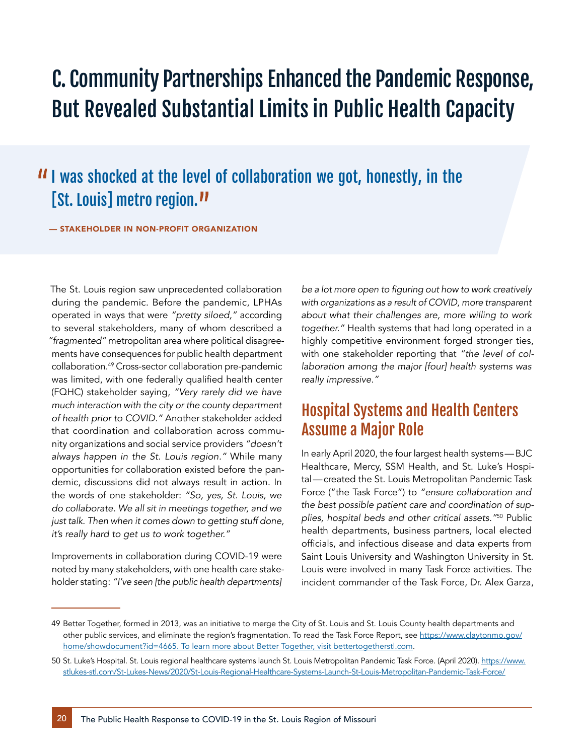## C. Community Partnerships Enhanced the Pandemic Response, But Revealed Substantial Limits in Public Health Capacity

## II was shocked at the level of collaboration we got, honestly, in the [St. Louis] metro region.<sup>11</sup>

— STAKEHOLDER IN NON-PROFIT ORGANIZATION

The St. Louis region saw unprecedented collaboration during the pandemic. Before the pandemic, LPHAs operated in ways that were "pretty siloed," according to several stakeholders, many of whom described a "fragmented" metropolitan area where political disagreements have consequences for public health department collaboration.49 Cross-sector collaboration pre-pandemic was limited, with one federally qualified health center (FQHC) stakeholder saying, *"Very rarely did we have much interaction with the city or the county department*  of health prior to COVID." Another stakeholder added that coordination and collaboration across community organizations and social service providers *"doesn't*  always happen in the St. Louis region." While many opportunities for collaboration existed before the pandemic, discussions did not always result in action. In the words of one stakeholder: *"So, yes, St. Louis, we do collaborate. We all sit in meetings together, and we just talk. Then when it comes down to getting stuff done,*  it's really hard to get us to work together."

Improvements in collaboration during COVID-19 were noted by many stakeholders, with one health care stakeholder stating: *"I've seen [the public health departments]* 

be a lot more open to figuring out how to work creatively *with organizations as a result of COVID, more transparent about what their challenges are, more willing to work*  together." Health systems that had long operated in a highly competitive environment forged stronger ties, with one stakeholder reporting that *"the level of collaboration among the major [four] health systems was*  really impressive."

#### Hospital Systems and Health Centers Assume a Major Role

In early April 2020, the four largest health systems—BJC Healthcare, Mercy, SSM Health, and St. Luke's Hospital—created the St. Louis Metropolitan Pandemic Task Force ("the Task Force") to *"ensure collaboration and the best possible patient care and coordination of sup*plies, hospital beds and other critical assets."50 Public health departments, business partners, local elected officials, and infectious disease and data experts from Saint Louis University and Washington University in St. Louis were involved in many Task Force activities. The incident commander of the Task Force, Dr. Alex Garza,

<sup>49</sup> Better Together, formed in 2013, was an initiative to merge the City of St. Louis and St. Louis County health departments and other public services, and eliminate the region's fragmentation. To read the Task Force Report, see [https://www.claytonmo.gov/](https://www.claytonmo.gov/home/showdocument?id=4665) [home/showdocument?id=4665](https://www.claytonmo.gov/home/showdocument?id=4665). To learn more about Better Together, visit [bettertogetherstl.com.](https://www.bettertogetherstl.com/)

<sup>50</sup> St. Luke's Hospital. St. Louis regional healthcare systems launch St. Louis Metropolitan Pandemic Task Force. (April 2020). [https://www.](https://www.stlukes-stl.com/St-Lukes-News/2020/St-Louis-Regional-Healthcare-Systems-Launch-St-Louis-Metropolitan-Pandemic-Task-Force/) [stlukes-stl.com/St-Lukes-News/2020/St-Louis-Regional-Healthcare-Systems-Launch-St-Louis-Metropolitan-Pandemic-Task-Force/](https://www.stlukes-stl.com/St-Lukes-News/2020/St-Louis-Regional-Healthcare-Systems-Launch-St-Louis-Metropolitan-Pandemic-Task-Force/)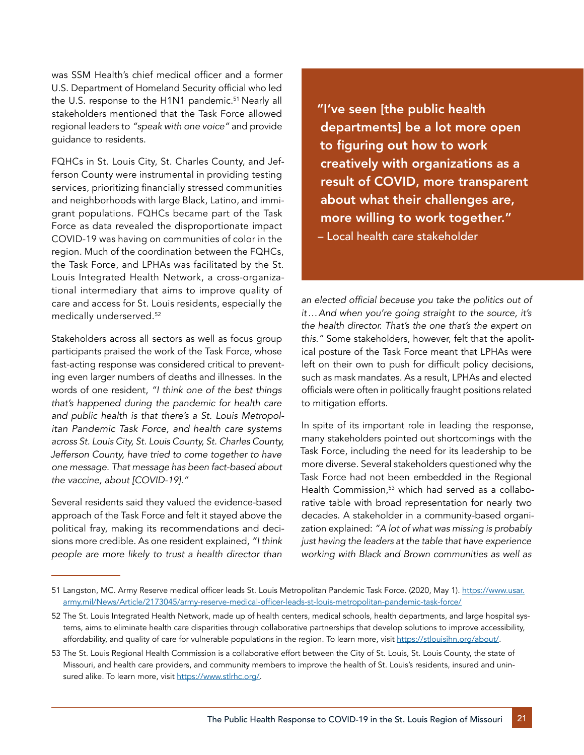was SSM Health's chief medical officer and a former U.S. Department of Homeland Security official who led the U.S. response to the H1N1 pandemic.<sup>51</sup> Nearly all stakeholders mentioned that the Task Force allowed regional leaders to "speak with one voice" and provide guidance to residents.

FQHCs in St. Louis City, St. Charles County, and Jefferson County were instrumental in providing testing services, prioritizing financially stressed communities and neighborhoods with large Black, Latino, and immigrant populations. FQHCs became part of the Task Force as data revealed the disproportionate impact COVID-19 was having on communities of color in the region. Much of the coordination between the FQHCs, the Task Force, and LPHAs was facilitated by the St. Louis Integrated Health Network, a cross-organizational intermediary that aims to improve quality of care and access for St. Louis residents, especially the medically underserved.52

Stakeholders across all sectors as well as focus group participants praised the work of the Task Force, whose fast-acting response was considered critical to preventing even larger numbers of deaths and illnesses. In the words of one resident, *"I think one of the best things that's happened during the pandemic for health care and public health is that there's a St. Louis Metropolitan Pandemic Task Force, and health care systems across St. Louis City, St. Louis County, St. Charles County, Jefferson County, have tried to come together to have one message. That message has been fact-based about*  the vaccine, about [COVID-19]."

Several residents said they valued the evidence-based approach of the Task Force and felt it stayed above the political fray, making its recommendations and decisions more credible. As one resident explained, *"I think people are more likely to trust a health director than* 

"I've seen [the public health departments] be a lot more open to figuring out how to work creatively with organizations as a result of COVID, more transparent about what their challenges are, more willing to work together." – Local health care stakeholder

an elected official because you take the politics out of *it…And when you're going straight to the source, it's the health director. That's the one that's the expert on*  this." Some stakeholders, however, felt that the apolitical posture of the Task Force meant that LPHAs were left on their own to push for difficult policy decisions, such as mask mandates. As a result, LPHAs and elected officials were often in politically fraught positions related to mitigation efforts.

In spite of its important role in leading the response, many stakeholders pointed out shortcomings with the Task Force, including the need for its leadership to be more diverse. Several stakeholders questioned why the Task Force had not been embedded in the Regional Health Commission,<sup>53</sup> which had served as a collaborative table with broad representation for nearly two decades. A stakeholder in a community-based organization explained: *"A lot of what was missing is probably just having the leaders at the table that have experience working with Black and Brown communities as well as* 

<sup>51</sup> Langston, MC. Army Reserve medical officer leads St. Louis Metropolitan Pandemic Task Force. (2020, May 1). [https://www.usar.](https://www.usar.army.mil/News/Article/2173045/army-reserve-medical-officer-leads-st-louis-metropolitan-pandemic-task-force/) [army.mil/News/Article/2173045/army-reserve-medical-officer-leads-st-louis-metropolitan-pandemic-task-force/](https://www.usar.army.mil/News/Article/2173045/army-reserve-medical-officer-leads-st-louis-metropolitan-pandemic-task-force/)

<sup>52</sup> The St. Louis Integrated Health Network, made up of health centers, medical schools, health departments, and large hospital systems, aims to eliminate health care disparities through collaborative partnerships that develop solutions to improve accessibility, affordability, and quality of care for vulnerable populations in the region. To learn more, visit<https://stlouisihn.org/about/>.

<sup>53</sup> The St. Louis Regional Health Commission is a collaborative effort between the City of St. Louis, St. Louis County, the state of Missouri, and health care providers, and community members to improve the health of St. Louis's residents, insured and uninsured alike. To learn more, visit <https://www.stlrhc.org/>.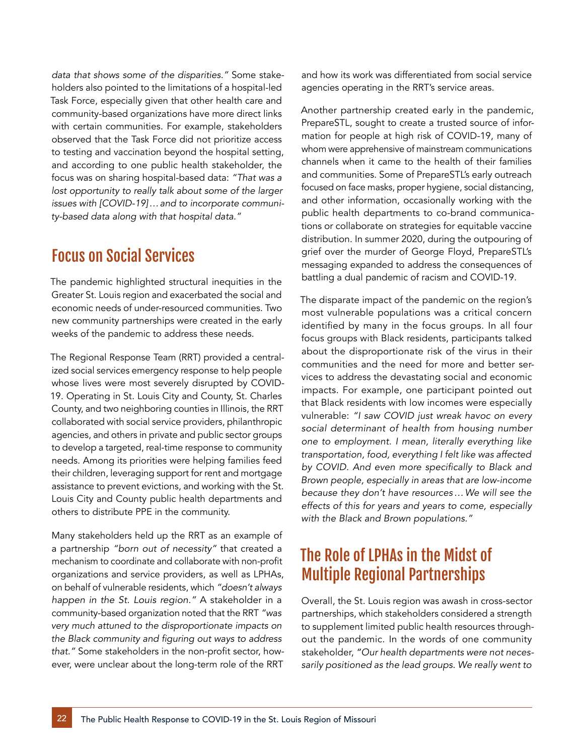data that shows some of the disparities." Some stakeholders also pointed to the limitations of a hospital-led Task Force, especially given that other health care and community-based organizations have more direct links with certain communities. For example, stakeholders observed that the Task Force did not prioritize access to testing and vaccination beyond the hospital setting, and according to one public health stakeholder, the focus was on sharing hospital-based data: *"That was a lost opportunity to really talk about some of the larger issues with [COVID-19]…and to incorporate communi*ty-based data along with that hospital data."

### Focus on Social Services

The pandemic highlighted structural inequities in the Greater St. Louis region and exacerbated the social and economic needs of under-resourced communities. Two new community partnerships were created in the early weeks of the pandemic to address these needs.

The Regional Response Team (RRT) provided a centralized social services emergency response to help people whose lives were most severely disrupted by COVID-19. Operating in St. Louis City and County, St. Charles County, and two neighboring counties in Illinois, the RRT collaborated with social service providers, philanthropic agencies, and others in private and public sector groups to develop a targeted, real-time response to community needs. Among its priorities were helping families feed their children, leveraging support for rent and mortgage assistance to prevent evictions, and working with the St. Louis City and County public health departments and others to distribute PPE in the community.

Many stakeholders held up the RRT as an example of a partnership "born out of necessity" that created a mechanism to coordinate and collaborate with non-profit organizations and service providers, as well as LPHAs, on behalf of vulnerable residents, which *"doesn't always*  happen in the St. Louis region." A stakeholder in a community-based organization noted that the RRT *"was very much attuned to the disproportionate impacts on*  the Black community and figuring out ways to address that." Some stakeholders in the non-profit sector, however, were unclear about the long-term role of the RRT

and how its work was differentiated from social service agencies operating in the RRT's service areas.

Another partnership created early in the pandemic, PrepareSTL, sought to create a trusted source of information for people at high risk of COVID-19, many of whom were apprehensive of mainstream communications channels when it came to the health of their families and communities. Some of PrepareSTL's early outreach focused on face masks, proper hygiene, social distancing, and other information, occasionally working with the public health departments to co-brand communications or collaborate on strategies for equitable vaccine distribution. In summer 2020, during the outpouring of grief over the murder of George Floyd, PrepareSTL's messaging expanded to address the consequences of battling a dual pandemic of racism and COVID-19.

The disparate impact of the pandemic on the region's most vulnerable populations was a critical concern identified by many in the focus groups. In all four focus groups with Black residents, participants talked about the disproportionate risk of the virus in their communities and the need for more and better services to address the devastating social and economic impacts. For example, one participant pointed out that Black residents with low incomes were especially vulnerable: *"I saw COVID just wreak havoc on every social determinant of health from housing number one to employment. I mean, literally everything like transportation, food, everything I felt like was affected*  by COVID. And even more specifically to Black and *Brown people, especially in areas that are low-income because they don't have resources…We will see the effects of this for years and years to come, especially*  with the Black and Brown populations."

## The Role of LPHAs in the Midst of Multiple Regional Partnerships

Overall, the St. Louis region was awash in cross-sector partnerships, which stakeholders considered a strength to supplement limited public health resources throughout the pandemic. In the words of one community stakeholder, *"Our health departments were not necessarily positioned as the lead groups. We really went to*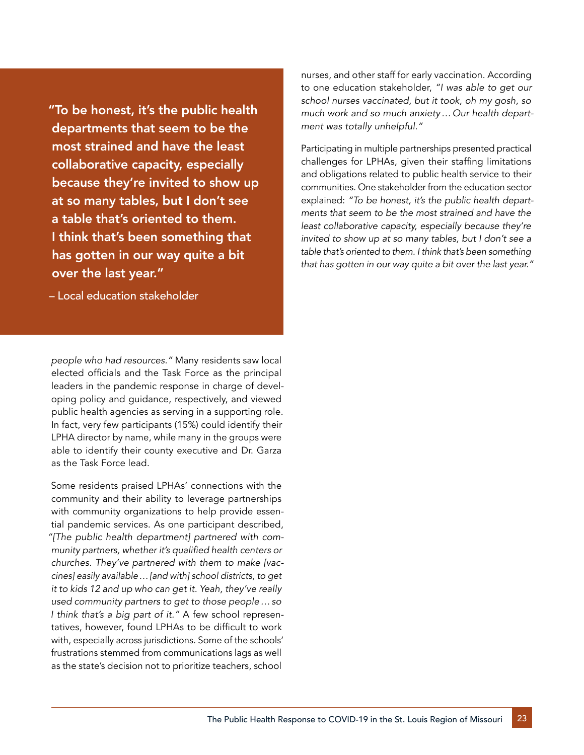"To be honest, it's the public health departments that seem to be the most strained and have the least collaborative capacity, especially because they're invited to show up at so many tables, but I don't see a table that's oriented to them. I think that's been something that has gotten in our way quite a bit over the last year."

– Local education stakeholder

people who had resources." Many residents saw local elected officials and the Task Force as the principal leaders in the pandemic response in charge of developing policy and guidance, respectively, and viewed public health agencies as serving in a supporting role. In fact, very few participants (15%) could identify their LPHA director by name, while many in the groups were able to identify their county executive and Dr. Garza as the Task Force lead.

Some residents praised LPHAs' connections with the community and their ability to leverage partnerships with community organizations to help provide essential pandemic services. As one participant described, *"[The public health department] partnered with com*munity partners, whether it's qualified health centers or *churches. They've partnered with them to make [vaccines] easily available…[and with] school districts, to get it to kids 12 and up who can get it. Yeah, they've really used community partners to get to those people…so*  I think that's a big part of it." A few school representatives, however, found LPHAs to be difficult to work with, especially across jurisdictions. Some of the schools' frustrations stemmed from communications lags as well as the state's decision not to prioritize teachers, school

nurses, and other staff for early vaccination. According to one education stakeholder, *"I was able to get our school nurses vaccinated, but it took, oh my gosh, so much work and so much anxiety…Our health depart*ment was totally unhelpful."

Participating in multiple partnerships presented practical challenges for LPHAs, given their staffing limitations and obligations related to public health service to their communities. One stakeholder from the education sector explained: *"To be honest, it's the public health departments that seem to be the most strained and have the least collaborative capacity, especially because they're invited to show up at so many tables, but I don't see a table that's oriented to them. I think that's been something*  that has gotten in our way quite a bit over the last year."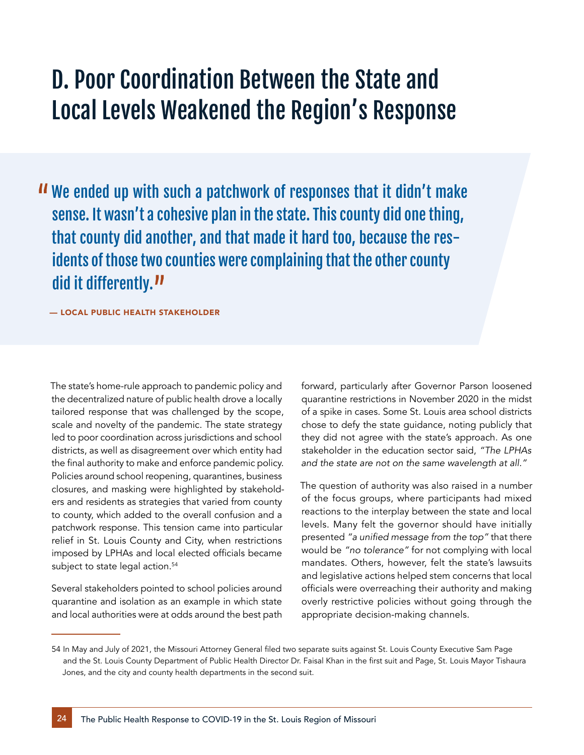# D. Poor Coordination Between the State and Local Levels Weakened the Region's Response

 We ended up with such a patchwork of responses that it didn't make sense. It wasn't a cohesive plan in the state. This county did one thing, that county did another, and that made it hard too, because the residents of those two counties were complaining that the other county did it differently.<sup>11</sup>

— LOCAL PUBLIC HEALTH STAKEHOLDER

The state's home-rule approach to pandemic policy and the decentralized nature of public health drove a locally tailored response that was challenged by the scope, scale and novelty of the pandemic. The state strategy led to poor coordination across jurisdictions and school districts, as well as disagreement over which entity had the final authority to make and enforce pandemic policy. Policies around school reopening, quarantines, business closures, and masking were highlighted by stakeholders and residents as strategies that varied from county to county, which added to the overall confusion and a patchwork response. This tension came into particular relief in St. Louis County and City, when restrictions imposed by LPHAs and local elected officials became subject to state legal action.<sup>54</sup>

Several stakeholders pointed to school policies around quarantine and isolation as an example in which state and local authorities were at odds around the best path forward, particularly after Governor Parson loosened quarantine restrictions in November 2020 in the midst of a spike in cases. Some St. Louis area school districts chose to defy the state guidance, noting publicly that they did not agree with the state's approach. As one stakeholder in the education sector said, *"The LPHAs*  and the state are not on the same wavelength at all."

The question of authority was also raised in a number of the focus groups, where participants had mixed reactions to the interplay between the state and local levels. Many felt the governor should have initially presented "a unified message from the top" that there would be "no tolerance" for not complying with local mandates. Others, however, felt the state's lawsuits and legislative actions helped stem concerns that local officials were overreaching their authority and making overly restrictive policies without going through the appropriate decision-making channels.

<sup>54</sup> In May and July of 2021, the Missouri Attorney General filed two separate suits against St. Louis County Executive Sam Page and the St. Louis County Department of Public Health Director Dr. Faisal Khan in the first suit and Page, St. Louis Mayor Tishaura Jones, and the city and county health departments in the second suit.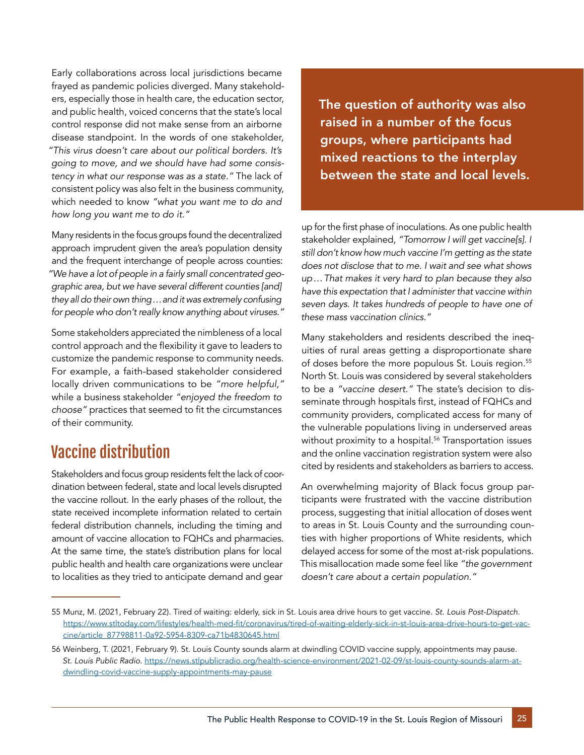Early collaborations across local jurisdictions became frayed as pandemic policies diverged. Many stakeholders, especially those in health care, the education sector, and public health, voiced concerns that the state's local control response did not make sense from an airborne disease standpoint. In the words of one stakeholder, *"This virus doesn't care about our political borders. It's going to move, and we should have had some consis*tency in what our response was as a state." The lack of consistent policy was also felt in the business community, which needed to know *"what you want me to do and*  how long you want me to do it."

Many residents in the focus groups found the decentralized approach imprudent given the area's population density and the frequent interchange of people across counties: *"We have a lot of people in a fairly small concentrated geographic area, but we have several different counties [and] they all do their own thing…and it was extremely confusing*  for people who don't really know anything about viruses."

Some stakeholders appreciated the nimbleness of a local control approach and the flexibility it gave to leaders to customize the pandemic response to community needs. For example, a faith-based stakeholder considered locally driven communications to be "more helpful," while a business stakeholder *"enjoyed the freedom to*  choose" practices that seemed to fit the circumstances of their community.

## Vaccine distribution

Stakeholders and focus group residents felt the lack of coordination between federal, state and local levels disrupted the vaccine rollout. In the early phases of the rollout, the state received incomplete information related to certain federal distribution channels, including the timing and amount of vaccine allocation to FQHCs and pharmacies. At the same time, the state's distribution plans for local public health and health care organizations were unclear to localities as they tried to anticipate demand and gear

The question of authority was also raised in a number of the focus groups, where participants had mixed reactions to the interplay between the state and local levels.

up for the first phase of inoculations. As one public health stakeholder explained, *"Tomorrow I will get vaccine[s]. I still don't know how much vaccine I'm getting as the state does not disclose that to me. I wait and see what shows up…That makes it very hard to plan because they also have this expectation that I administer that vaccine within seven days. It takes hundreds of people to have one of*  these mass vaccination clinics."

Many stakeholders and residents described the inequities of rural areas getting a disproportionate share of doses before the more populous St. Louis region.<sup>55</sup> North St. Louis was considered by several stakeholders to be a "vaccine desert." The state's decision to disseminate through hospitals first, instead of FQHCs and community providers, complicated access for many of the vulnerable populations living in underserved areas without proximity to a hospital.<sup>56</sup> Transportation issues and the online vaccination registration system were also cited by residents and stakeholders as barriers to access.

An overwhelming majority of Black focus group participants were frustrated with the vaccine distribution process, suggesting that initial allocation of doses went to areas in St. Louis County and the surrounding counties with higher proportions of White residents, which delayed access for some of the most at-risk populations. This misallocation made some feel like *"the government*  doesn't care about a certain population."

<sup>55</sup> Munz, M. (2021, February 22). Tired of waiting: elderly, sick in St. Louis area drive hours to get vaccine. *St. Louis Post-Dispatch.* [https://www.stltoday.com/lifestyles/health-med-fit/coronavirus/tired-of-waiting-elderly-sick-in-st-louis-area-drive-hours-to-get-vac](https://www.stltoday.com/lifestyles/health-med-fit/coronavirus/tired-of-waiting-elderly-sick-in-st-louis-area-drive-hours-to-get-vaccine/article_87798811-0a92-5954-8309-ca71b4830645.html)[cine/article\\_87798811-0a92-5954-8309-ca71b4830645.html](https://www.stltoday.com/lifestyles/health-med-fit/coronavirus/tired-of-waiting-elderly-sick-in-st-louis-area-drive-hours-to-get-vaccine/article_87798811-0a92-5954-8309-ca71b4830645.html)

<sup>56</sup> Weinberg, T. (2021, February 9). St. Louis County sounds alarm at dwindling COVID vaccine supply, appointments may pause. *St. Louis Public Radio.* [https://news.stlpublicradio.org/health-science-environment/2021-02-09/st-louis-county-sounds-alarm-at](https://news.stlpublicradio.org/health-science-environment/2021-02-09/st-louis-county-sounds-alarm-at-dwindling-covid-vaccine-supply-appointments-may-pause)[dwindling-covid-vaccine-supply-appointments-may-pause](https://news.stlpublicradio.org/health-science-environment/2021-02-09/st-louis-county-sounds-alarm-at-dwindling-covid-vaccine-supply-appointments-may-pause)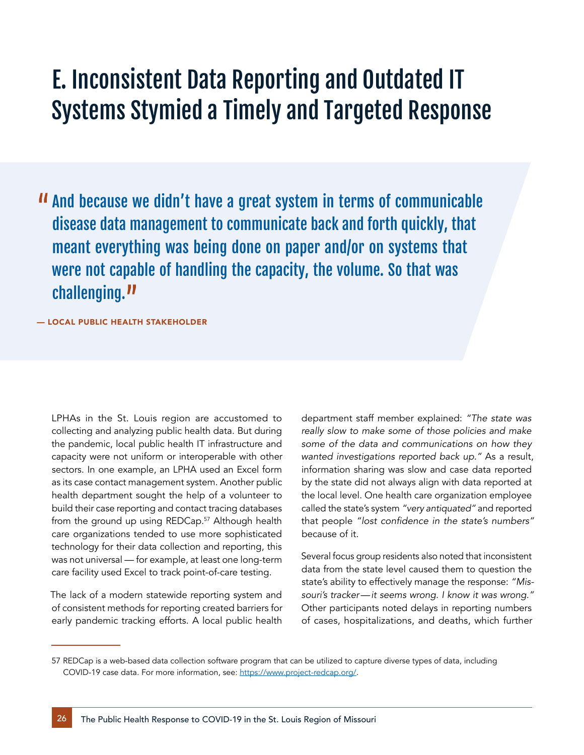# E. Inconsistent Data Reporting and Outdated IT Systems Stymied a Timely and Targeted Response

 And because we didn't have a great system in terms of communicable disease data management to communicate back and forth quickly, that meant everything was being done on paper and/or on systems that were not capable of handling the capacity, the volume. So that was challenging.<sup>11</sup>

#### — LOCAL PUBLIC HEALTH STAKEHOLDER

LPHAs in the St. Louis region are accustomed to collecting and analyzing public health data. But during the pandemic, local public health IT infrastructure and capacity were not uniform or interoperable with other sectors. In one example, an LPHA used an Excel form as its case contact management system. Another public health department sought the help of a volunteer to build their case reporting and contact tracing databases from the ground up using REDCap.<sup>57</sup> Although health care organizations tended to use more sophisticated technology for their data collection and reporting, this was not universal — for example, at least one long-term care facility used Excel to track point-of-care testing.

The lack of a modern statewide reporting system and of consistent methods for reporting created barriers for early pandemic tracking efforts. A local public health department staff member explained: *"The state was really slow to make some of those policies and make some of the data and communications on how they*  wanted investigations reported back up." As a result, information sharing was slow and case data reported by the state did not always align with data reported at the local level. One health care organization employee called the state's system "very antiquated" and reported that people "lost confidence in the state's numbers" because of it.

Several focus group residents also noted that inconsistent data from the state level caused them to question the state's ability to effectively manage the response: *"Mis*souri's tracker—it seems wrong. I know it was wrong." Other participants noted delays in reporting numbers of cases, hospitalizations, and deaths, which further

<sup>57</sup> REDCap is a web-based data collection software program that can be utilized to capture diverse types of data, including COVID-19 case data. For more information, see: [https://www.project-redcap.org/.](https://www.project-redcap.org/)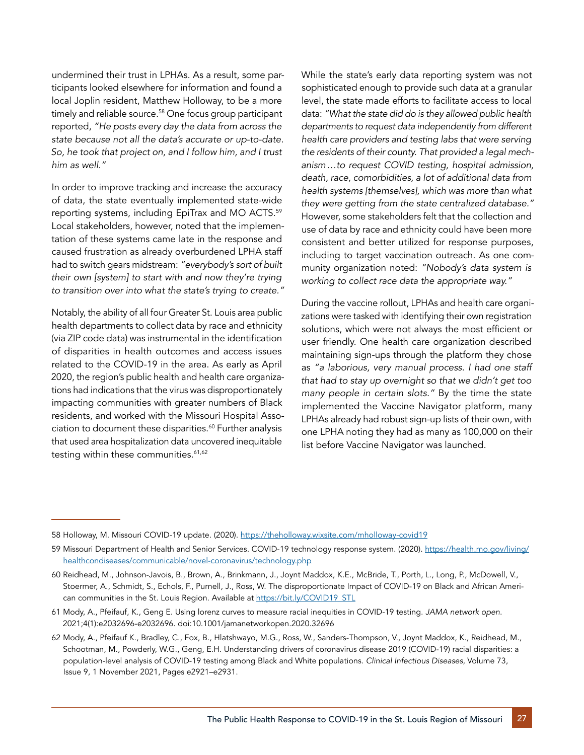undermined their trust in LPHAs. As a result, some participants looked elsewhere for information and found a local Joplin resident, Matthew Holloway, to be a more timely and reliable source.<sup>58</sup> One focus group participant reported, *"He posts every day the data from across the state because not all the data's accurate or up-to-date. So, he took that project on, and I follow him, and I trust*  him as well."

In order to improve tracking and increase the accuracy of data, the state eventually implemented state-wide reporting systems, including EpiTrax and MO ACTS.59 Local stakeholders, however, noted that the implementation of these systems came late in the response and caused frustration as already overburdened LPHA staff had to switch gears midstream: *"everybody's sort of built their own [system] to start with and now they're trying*  to transition over into what the state's trying to create."

Notably, the ability of all four Greater St. Louis area public health departments to collect data by race and ethnicity (via ZIP code data) was instrumental in the identification of disparities in health outcomes and access issues related to the COVID-19 in the area. As early as April 2020, the region's public health and health care organizations had indications that the virus was disproportionately impacting communities with greater numbers of Black residents, and worked with the Missouri Hospital Association to document these disparities.<sup>60</sup> Further analysis that used area hospitalization data uncovered inequitable testing within these communities.<sup>61,62</sup>

While the state's early data reporting system was not sophisticated enough to provide such data at a granular level, the state made efforts to facilitate access to local data: *"What the state did do is they allowed public health departments to request data independently from different health care providers and testing labs that were serving the residents of their county. That provided a legal mechanism…to request COVID testing, hospital admission, death, race, comorbidities, a lot of additional data from health systems [themselves], which was more than what*  they were getting from the state centralized database." However, some stakeholders felt that the collection and use of data by race and ethnicity could have been more consistent and better utilized for response purposes, including to target vaccination outreach. As one community organization noted: *"Nobody's data system is*  working to collect race data the appropriate way."

During the vaccine rollout, LPHAs and health care organizations were tasked with identifying their own registration solutions, which were not always the most efficient or user friendly. One health care organization described maintaining sign-ups through the platform they chose as *"a laborious, very manual process. I had one staff that had to stay up overnight so that we didn't get too*  many people in certain slots." By the time the state implemented the Vaccine Navigator platform, many LPHAs already had robust sign-up lists of their own, with one LPHA noting they had as many as 100,000 on their list before Vaccine Navigator was launched.

<sup>58</sup> Holloway, M. Missouri COVID-19 update. (2020).<https://theholloway.wixsite.com/mholloway-covid19>

<sup>59</sup> Missouri Department of Health and Senior Services. COVID-19 technology response system. (2020). [https://health.mo.gov/living/](https://health.mo.gov/living/healthcondiseases/communicable/novel-coronavirus/technology.php) [healthcondiseases/communicable/novel-coronavirus/technology.php](https://health.mo.gov/living/healthcondiseases/communicable/novel-coronavirus/technology.php)

<sup>60</sup> Reidhead, M., Johnson-Javois, B., Brown, A., Brinkmann, J., Joynt Maddox, K.E., McBride, T., Porth, L., Long, P., McDowell, V., Stoermer, A., Schmidt, S., Echols, F., Purnell, J., Ross, W. The disproportionate Impact of COVID-19 on Black and African American communities in the St. Louis Region. Available at https://bit.ly/COVID19\_STL

<sup>61</sup> Mody, A., Pfeifauf, K., Geng E. Using lorenz curves to measure racial inequities in COVID-19 testing. *JAMA network open*. 2021;4(1):e2032696-e2032696. doi:10.1001/jamanetworkopen.2020.32696

<sup>62</sup> Mody, A., Pfeifauf K., Bradley, C., Fox, B., Hlatshwayo, M.G., Ross, W., Sanders-Thompson, V., Joynt Maddox, K., Reidhead, M., Schootman, M., Powderly, W.G., Geng, E.H. Understanding drivers of coronavirus disease 2019 (COVID-19) racial disparities: a population-level analysis of COVID-19 testing among Black and White populations. *Clinical Infectious Diseases*, Volume 73, Issue 9, 1 November 2021, Pages e2921–e2931.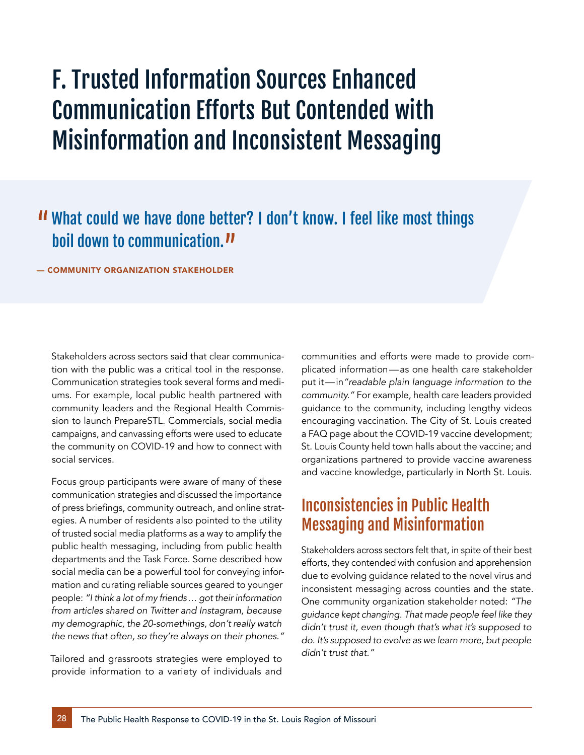# F. Trusted Information Sources Enhanced Communication Efforts But Contended with Misinformation and Inconsistent Messaging

## What could we have done better? I don't know. I feel like most things boil down to communication.<sup>11</sup>

— COMMUNITY ORGANIZATION STAKEHOLDER

Stakeholders across sectors said that clear communication with the public was a critical tool in the response. Communication strategies took several forms and mediums. For example, local public health partnered with community leaders and the Regional Health Commission to launch PrepareSTL. Commercials, social media campaigns, and canvassing efforts were used to educate the community on COVID-19 and how to connect with social services.

Focus group participants were aware of many of these communication strategies and discussed the importance of press briefings, community outreach, and online strategies. A number of residents also pointed to the utility of trusted social media platforms as a way to amplify the public health messaging, including from public health departments and the Task Force. Some described how social media can be a powerful tool for conveying information and curating reliable sources geared to younger people: *"I think a lot of my friends… got their information from articles shared on Twitter and Instagram, because my demographic, the 20-somethings, don't really watch*  the news that often, so they're always on their phones."

Tailored and grassroots strategies were employed to provide information to a variety of individuals and communities and efforts were made to provide complicated information—as one health care stakeholder put it—in*"readable plain language information to the*  community." For example, health care leaders provided guidance to the community, including lengthy videos encouraging vaccination. The City of St. Louis created a FAQ page about the COVID-19 vaccine development; St. Louis County held town halls about the vaccine; and organizations partnered to provide vaccine awareness and vaccine knowledge, particularly in North St. Louis.

### Inconsistencies in Public Health Messaging and Misinformation

Stakeholders across sectors felt that, in spite of their best efforts, they contended with confusion and apprehension due to evolving guidance related to the novel virus and inconsistent messaging across counties and the state. One community organization stakeholder noted: *"The guidance kept changing. That made people feel like they didn't trust it, even though that's what it's supposed to do. It's supposed to evolve as we learn more, but people*  didn't trust that."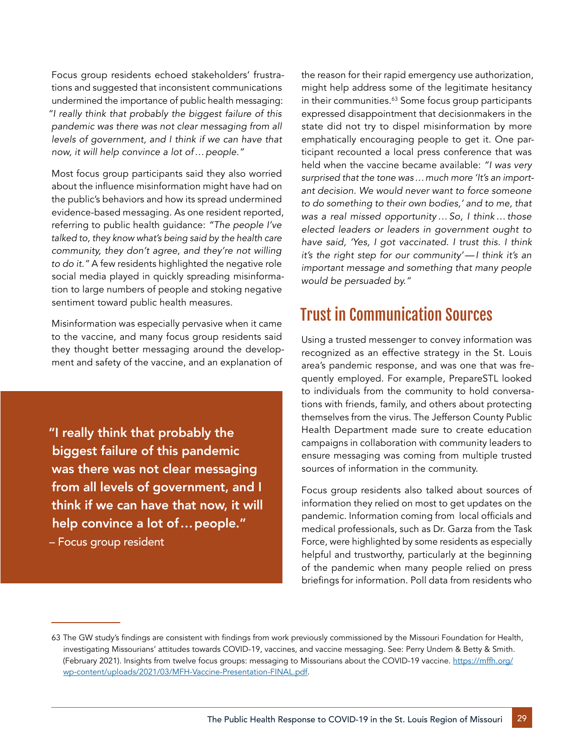Focus group residents echoed stakeholders' frustrations and suggested that inconsistent communications undermined the importance of public health messaging: *"I really think that probably the biggest failure of this pandemic was there was not clear messaging from all levels of government, and I think if we can have that*  now, it will help convince a lot of…people."

Most focus group participants said they also worried about the influence misinformation might have had on the public's behaviors and how its spread undermined evidence-based messaging. As one resident reported, referring to public health guidance: *"The people I've talked to, they know what's being said by the health care community, they don't agree, and they're not willing*  to do it." A few residents highlighted the negative role social media played in quickly spreading misinformation to large numbers of people and stoking negative sentiment toward public health measures.

Misinformation was especially pervasive when it came to the vaccine, and many focus group residents said they thought better messaging around the development and safety of the vaccine, and an explanation of

"I really think that probably the biggest failure of this pandemic was there was not clear messaging from all levels of government, and I think if we can have that now, it will help convince a lot of…people."

– Focus group resident

the reason for their rapid emergency use authorization, might help address some of the legitimate hesitancy in their communities.<sup>63</sup> Some focus group participants expressed disappointment that decisionmakers in the state did not try to dispel misinformation by more emphatically encouraging people to get it. One participant recounted a local press conference that was held when the vaccine became available: *"I was very surprised that the tone was…much more 'It's an important decision. We would never want to force someone to do something to their own bodies,' and to me, that was a real missed opportunity…So, I think…those elected leaders or leaders in government ought to have said, 'Yes, I got vaccinated. I trust this. I think it's the right step for our community'—I think it's an important message and something that many people*  would be persuaded by."

## Trust in Communication Sources

Using a trusted messenger to convey information was recognized as an effective strategy in the St. Louis area's pandemic response, and was one that was frequently employed. For example, PrepareSTL looked to individuals from the community to hold conversations with friends, family, and others about protecting themselves from the virus. The Jefferson County Public Health Department made sure to create education campaigns in collaboration with community leaders to ensure messaging was coming from multiple trusted sources of information in the community.

Focus group residents also talked about sources of information they relied on most to get updates on the pandemic. Information coming from local officials and medical professionals, such as Dr. Garza from the Task Force, were highlighted by some residents as especially helpful and trustworthy, particularly at the beginning of the pandemic when many people relied on press briefings for information. Poll data from residents who

<sup>63</sup> The GW study's findings are consistent with findings from work previously commissioned by the Missouri Foundation for Health, investigating Missourians' attitudes towards COVID-19, vaccines, and vaccine messaging. See: Perry Undem & Betty & Smith. (February 2021). Insights from twelve focus groups: messaging to Missourians about the COVID-19 vaccine. [https://mffh.org/](https://mffh.org/wp-content/uploads/2021/03/MFH-Vaccine-Presentation-FINAL.pdf) [wp-content/uploads/2021/03/MFH-Vaccine-Presentation-FINAL.pdf](https://mffh.org/wp-content/uploads/2021/03/MFH-Vaccine-Presentation-FINAL.pdf).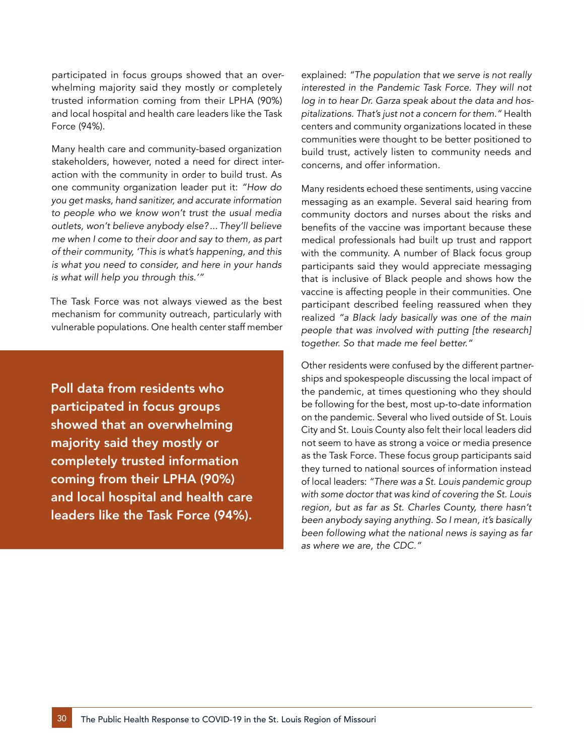participated in focus groups showed that an overwhelming majority said they mostly or completely trusted information coming from their LPHA (90%) and local hospital and health care leaders like the Task Force (94%).

Many health care and community-based organization stakeholders, however, noted a need for direct interaction with the community in order to build trust. As one community organization leader put it: *"How do you get masks, hand sanitizer, and accurate information to people who we know won't trust the usual media outlets, won't believe anybody else? ... They'll believe me when I come to their door and say to them, as part of their community, 'This is what's happening, and this is what you need to consider, and here in your hands*  is what will help you through this.'"

The Task Force was not always viewed as the best mechanism for community outreach, particularly with vulnerable populations. One health center staff member

Poll data from residents who participated in focus groups showed that an overwhelming majority said they mostly or completely trusted information coming from their LPHA (90%) and local hospital and health care leaders like the Task Force (94%). explained: *"The population that we serve is not really interested in the Pandemic Task Force. They will not log in to hear Dr. Garza speak about the data and hos*pitalizations. That's just not a concern for them." Health centers and community organizations located in these communities were thought to be better positioned to build trust, actively listen to community needs and concerns, and offer information.

Many residents echoed these sentiments, using vaccine messaging as an example. Several said hearing from community doctors and nurses about the risks and benefits of the vaccine was important because these medical professionals had built up trust and rapport with the community. A number of Black focus group participants said they would appreciate messaging that is inclusive of Black people and shows how the vaccine is affecting people in their communities. One participant described feeling reassured when they realized *"a Black lady basically was one of the main people that was involved with putting [the research]* together. So that made me feel better."

Other residents were confused by the different partnerships and spokespeople discussing the local impact of the pandemic, at times questioning who they should be following for the best, most up-to-date information on the pandemic. Several who lived outside of St. Louis City and St. Louis County also felt their local leaders did not seem to have as strong a voice or media presence as the Task Force. These focus group participants said they turned to national sources of information instead of local leaders: *"There was a St. Louis pandemic group with some doctor that was kind of covering the St. Louis region, but as far as St. Charles County, there hasn't been anybody saying anything. So I mean, it's basically been following what the national news is saying as far*  as where we are, the CDC."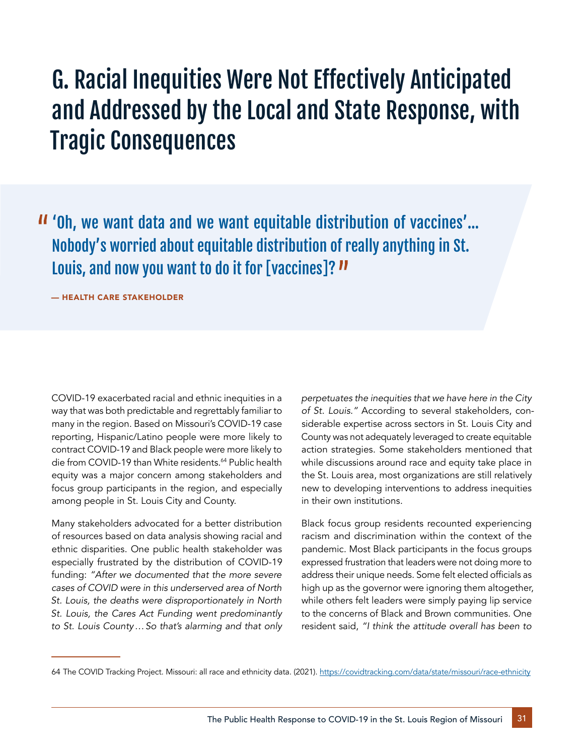# G. Racial Inequities Were Not Effectively Anticipated and Addressed by the Local and State Response, with Tragic Consequences

 'Oh, we want data and we want equitable distribution of vaccines'… Nobody's worried about equitable distribution of really anything in St. Louis, and now you want to do it for [vaccines]?  $\boldsymbol{\nu}$ 

— HEALTH CARE STAKEHOLDER

COVID-19 exacerbated racial and ethnic inequities in a way that was both predictable and regrettably familiar to many in the region. Based on Missouri's COVID-19 case reporting, Hispanic/Latino people were more likely to contract COVID-19 and Black people were more likely to die from COVID-19 than White residents.<sup>64</sup> Public health equity was a major concern among stakeholders and focus group participants in the region, and especially among people in St. Louis City and County.

Many stakeholders advocated for a better distribution of resources based on data analysis showing racial and ethnic disparities. One public health stakeholder was especially frustrated by the distribution of COVID-19 funding: *"After we documented that the more severe cases of COVID were in this underserved area of North St. Louis, the deaths were disproportionately in North St. Louis, the Cares Act Funding went predominantly to St. Louis County…So that's alarming and that only*  *perpetuates the inequities that we have here in the City*  of St. Louis." According to several stakeholders, considerable expertise across sectors in St. Louis City and County was not adequately leveraged to create equitable action strategies. Some stakeholders mentioned that while discussions around race and equity take place in the St. Louis area, most organizations are still relatively new to developing interventions to address inequities in their own institutions.

Black focus group residents recounted experiencing racism and discrimination within the context of the pandemic. Most Black participants in the focus groups expressed frustration that leaders were not doing more to address their unique needs. Some felt elected officials as high up as the governor were ignoring them altogether, while others felt leaders were simply paying lip service to the concerns of Black and Brown communities. One resident said, *"I think the attitude overall has been to* 

<sup>64</sup> The COVID Tracking Project. Missouri: all race and ethnicity data. (2021).<https://covidtracking.com/data/state/missouri/race-ethnicity>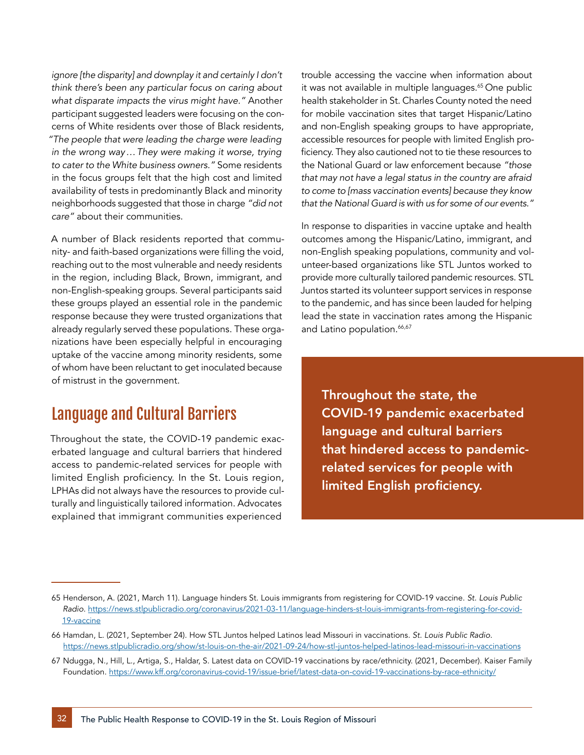*ignore [the disparity] and downplay it and certainly I don't think there's been any particular focus on caring about*  what disparate impacts the virus might have." Another participant suggested leaders were focusing on the concerns of White residents over those of Black residents, *"The people that were leading the charge were leading in the wrong way…They were making it worse, trying*  to cater to the White business owners." Some residents in the focus groups felt that the high cost and limited availability of tests in predominantly Black and minority neighborhoods suggested that those in charge *"did not*  care" about their communities.

A number of Black residents reported that community- and faith-based organizations were filling the void, reaching out to the most vulnerable and needy residents in the region, including Black, Brown, immigrant, and non-English-speaking groups. Several participants said these groups played an essential role in the pandemic response because they were trusted organizations that already regularly served these populations. These organizations have been especially helpful in encouraging uptake of the vaccine among minority residents, some of whom have been reluctant to get inoculated because of mistrust in the government.

### Language and Cultural Barriers

Throughout the state, the COVID-19 pandemic exacerbated language and cultural barriers that hindered access to pandemic-related services for people with limited English proficiency. In the St. Louis region, LPHAs did not always have the resources to provide culturally and linguistically tailored information. Advocates explained that immigrant communities experienced

trouble accessing the vaccine when information about it was not available in multiple languages.<sup>65</sup> One public health stakeholder in St. Charles County noted the need for mobile vaccination sites that target Hispanic/Latino and non-English speaking groups to have appropriate, accessible resources for people with limited English proficiency. They also cautioned not to tie these resources to the National Guard or law enforcement because *"those that may not have a legal status in the country are afraid to come to [mass vaccination events] because they know*  that the National Guard is with us for some of our events."

In response to disparities in vaccine uptake and health outcomes among the Hispanic/Latino, immigrant, and non-English speaking populations, community and volunteer-based organizations like STL Juntos worked to provide more culturally tailored pandemic resources. STL Juntos started its volunteer support services in response to the pandemic, and has since been lauded for helping lead the state in vaccination rates among the Hispanic and Latino population.<sup>66,67</sup>

Throughout the state, the COVID-19 pandemic exacerbated language and cultural barriers that hindered access to pandemicrelated services for people with limited English proficiency.

<sup>65</sup> Henderson, A. (2021, March 11). Language hinders St. Louis immigrants from registering for COVID-19 vaccine. *St. Louis Public Radio.* [https://news.stlpublicradio.org/coronavirus/2021-03-11/language-hinders-st-louis-immigrants-from-registering-for-covid-](https://news.stlpublicradio.org/coronavirus/2021-03-11/language-hinders-st-louis-immigrants-from-registering-for-covid-19-vaccine)[19-vaccine](https://news.stlpublicradio.org/coronavirus/2021-03-11/language-hinders-st-louis-immigrants-from-registering-for-covid-19-vaccine)

<sup>66</sup> Hamdan, L. (2021, September 24). How STL Juntos helped Latinos lead Missouri in vaccinations. *St. Louis Public Radio.*  <https://news.stlpublicradio.org/show/st-louis-on-the-air/2021-09-24/how-stl-juntos-helped-latinos-lead-missouri-in-vaccinations>

<sup>67</sup> Ndugga, N., Hill, L., Artiga, S., Haldar, S. Latest data on COVID-19 vaccinations by race/ethnicity. (2021, December). Kaiser Family Foundation.<https://www.kff.org/coronavirus-covid-19/issue-brief/latest-data-on-covid-19-vaccinations-by-race-ethnicity/>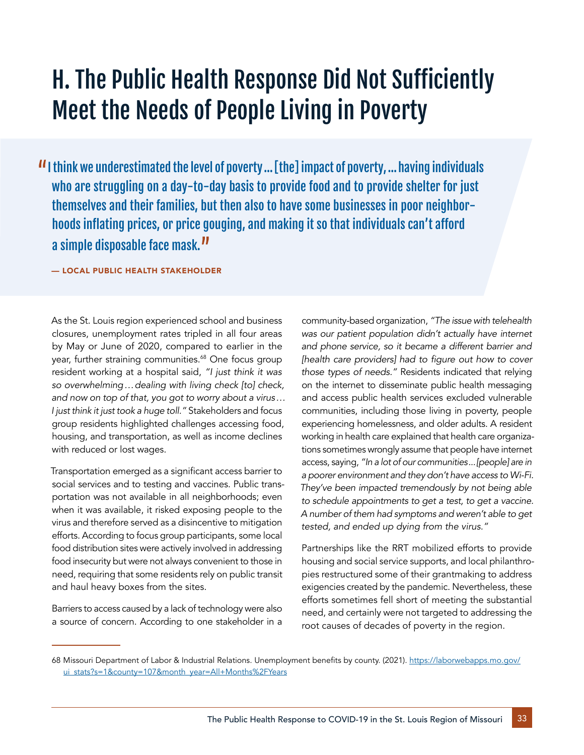# H. The Public Health Response Did Not Sufficiently Meet the Needs of People Living in Poverty

If I think we underestimated the level of poverty ... [the] impact of poverty, ... having individuals who are struggling on a day-to-day basis to provide food and to provide shelter for just themselves and their families, but then also to have some businesses in poor neighborhoods inflating prices, or price gouging, and making it so that individuals can't afford a simple disposable face mask."

— LOCAL PUBLIC HEALTH STAKEHOLDER

As the St. Louis region experienced school and business closures, unemployment rates tripled in all four areas by May or June of 2020, compared to earlier in the year, further straining communities.<sup>68</sup> One focus group resident working at a hospital said, *"I just think it was so overwhelming…dealing with living check [to] check, and now on top of that, you got to worry about a virus…* I just think it just took a huge toll." Stakeholders and focus group residents highlighted challenges accessing food, housing, and transportation, as well as income declines with reduced or lost wages.

Transportation emerged as a significant access barrier to social services and to testing and vaccines. Public transportation was not available in all neighborhoods; even when it was available, it risked exposing people to the virus and therefore served as a disincentive to mitigation efforts. According to focus group participants, some local food distribution sites were actively involved in addressing food insecurity but were not always convenient to those in need, requiring that some residents rely on public transit and haul heavy boxes from the sites.

Barriers to access caused by a lack of technology were also a source of concern. According to one stakeholder in a

community-based organization, *"The issue with telehealth was our patient population didn't actually have internet and phone service, so it became a different barrier and*  [health care providers] had to figure out how to cover those types of needs." Residents indicated that relying on the internet to disseminate public health messaging and access public health services excluded vulnerable communities, including those living in poverty, people experiencing homelessness, and older adults. A resident working in health care explained that health care organizations sometimes wrongly assume that people have internet access, saying, *"In a lot of our communities...[people] are in a poorer environment and they don't have access to Wi-Fi. They've been impacted tremendously by not being able to schedule appointments to get a test, to get a vaccine. A number of them had symptoms and weren't able to get*  tested, and ended up dying from the virus."

Partnerships like the RRT mobilized efforts to provide housing and social service supports, and local philanthropies restructured some of their grantmaking to address exigencies created by the pandemic. Nevertheless, these efforts sometimes fell short of meeting the substantial need, and certainly were not targeted to addressing the root causes of decades of poverty in the region.

<sup>68</sup> Missouri Department of Labor & Industrial Relations. Unemployment benefits by county. (2021). [https://laborwebapps.mo.gov/](https://laborwebapps.mo.gov/ui_stats?s=1&county=107&month_year=All+Months%2FYears) [ui\\_stats?s=1&county=107&month\\_year=All+Months%2FYears](https://laborwebapps.mo.gov/ui_stats?s=1&county=107&month_year=All+Months%2FYears)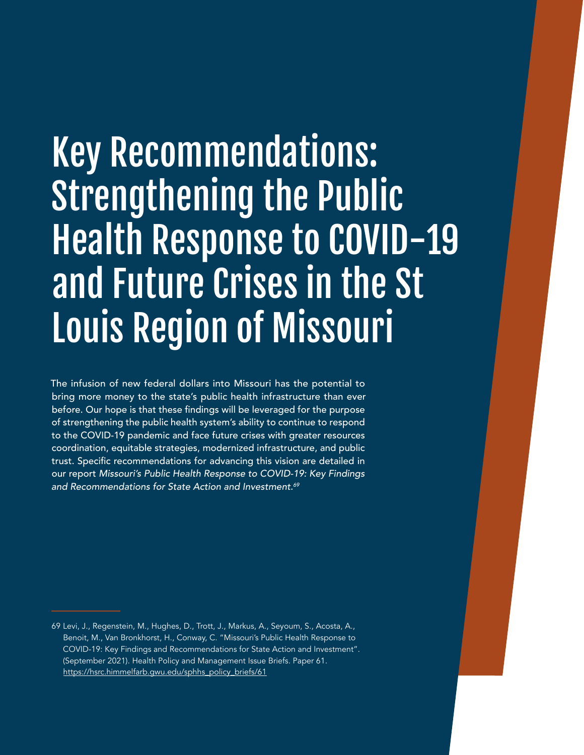# Key Recommendations: **Strengthening the Public** Health Response to COVID-19 and Future Crises in the St Louis Region of Missouri

The infusion of new federal dollars into Missouri has the potential to bring more money to the state's public health infrastructure than ever before. Our hope is that these findings will be leveraged for the purpose of strengthening the public health system's ability to continue to respond to the COVID-19 pandemic and face future crises with greater resources coordination, equitable strategies, modernized infrastructure, and public trust. Specific recommendations for advancing this vision are detailed in our report Missouri's Public Health Response to COVID-19: Key Findings and Recommendations for State Action and Investment.<sup>69</sup>

<sup>69</sup> Levi, J., Regenstein, M., Hughes, D., Trott, J., Markus, A., Seyoum, S., Acosta, A., Benoit, M., Van Bronkhorst, H., Conway, C. "Missouri's Public Health Response to COVID-19: Key Findings and Recommendations for State Action and Investment". (September 2021). Health Policy and Management Issue Briefs. Paper 61. [https://hsrc.himmelfarb.gwu.edu/sphhs\\_policy\\_briefs/61](https://hsrc.himmelfarb.gwu.edu/sphhs_policy_briefs/61)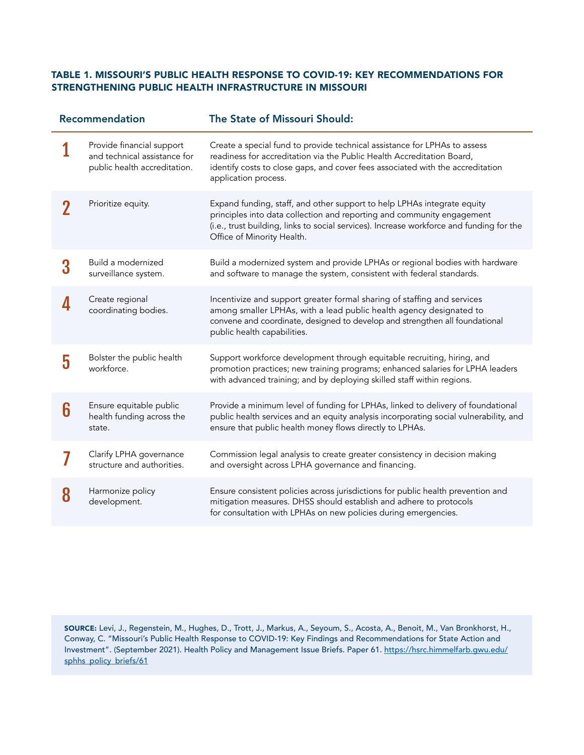#### TABLE 1. MISSOURI'S PUBLIC HEALTH RESPONSE TO COVID-19: KEY RECOMMENDATIONS FOR STRENGTHENING PUBLIC HEALTH INFRASTRUCTURE IN MISSOURI

| Recommendation |                                                                                           | The State of Missouri Should:                                                                                                                                                                                                                                               |  |
|----------------|-------------------------------------------------------------------------------------------|-----------------------------------------------------------------------------------------------------------------------------------------------------------------------------------------------------------------------------------------------------------------------------|--|
|                | Provide financial support<br>and technical assistance for<br>public health accreditation. | Create a special fund to provide technical assistance for LPHAs to assess<br>readiness for accreditation via the Public Health Accreditation Board,<br>identify costs to close gaps, and cover fees associated with the accreditation<br>application process.               |  |
|                | Prioritize equity.                                                                        | Expand funding, staff, and other support to help LPHAs integrate equity<br>principles into data collection and reporting and community engagement<br>(i.e., trust building, links to social services). Increase workforce and funding for the<br>Office of Minority Health. |  |
| 3              | Build a modernized<br>surveillance system.                                                | Build a modernized system and provide LPHAs or regional bodies with hardware<br>and software to manage the system, consistent with federal standards.                                                                                                                       |  |
|                | Create regional<br>coordinating bodies.                                                   | Incentivize and support greater formal sharing of staffing and services<br>among smaller LPHAs, with a lead public health agency designated to<br>convene and coordinate, designed to develop and strengthen all foundational<br>public health capabilities.                |  |
| 5              | Bolster the public health<br>workforce.                                                   | Support workforce development through equitable recruiting, hiring, and<br>promotion practices; new training programs; enhanced salaries for LPHA leaders<br>with advanced training; and by deploying skilled staff within regions.                                         |  |
| 6              | Ensure equitable public<br>health funding across the<br>state.                            | Provide a minimum level of funding for LPHAs, linked to delivery of foundational<br>public health services and an equity analysis incorporating social vulnerability, and<br>ensure that public health money flows directly to LPHAs.                                       |  |
|                | Clarify LPHA governance<br>structure and authorities.                                     | Commission legal analysis to create greater consistency in decision making<br>and oversight across LPHA governance and financing.                                                                                                                                           |  |
| 8              | Harmonize policy<br>development.                                                          | Ensure consistent policies across jurisdictions for public health prevention and<br>mitigation measures. DHSS should establish and adhere to protocols<br>for consultation with LPHAs on new policies during emergencies.                                                   |  |

SOURCE: Levi, J., Regenstein, M., Hughes, D., Trott, J., Markus, A., Seyoum, S., Acosta, A., Benoit, M., Van Bronkhorst, H., Conway, C. "Missouri's Public Health Response to COVID-19: Key Findings and Recommendations for State Action and Investment". (September 2021). Health Policy and Management Issue Briefs. Paper 61. [https://hsrc.himmelfarb.gwu.edu/](https://hsrc.himmelfarb.gwu.edu/sphhs_policy_briefs/61) [sphhs\\_policy\\_briefs/61](https://hsrc.himmelfarb.gwu.edu/sphhs_policy_briefs/61)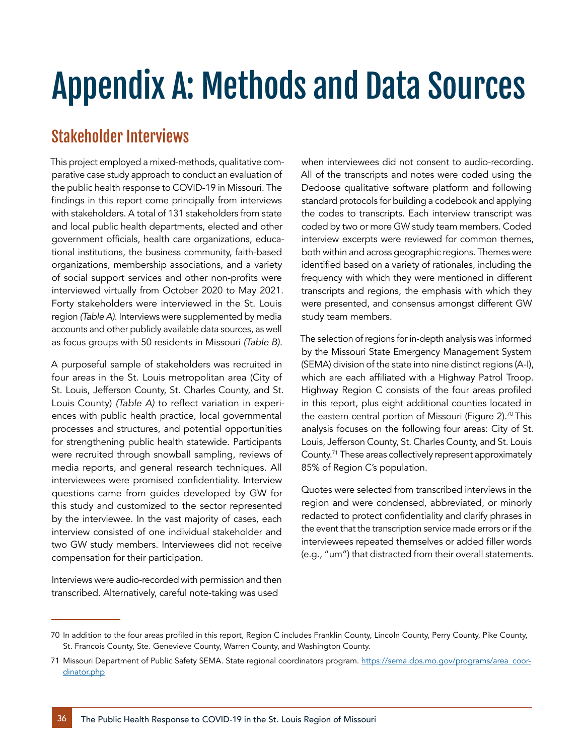# Appendix A: Methods and Data Sources

## Stakeholder Interviews

This project employed a mixed-methods, qualitative comparative case study approach to conduct an evaluation of the public health response to COVID-19 in Missouri. The findings in this report come principally from interviews with stakeholders. A total of 131 stakeholders from state and local public health departments, elected and other government officials, health care organizations, educational institutions, the business community, faith-based organizations, membership associations, and a variety of social support services and other non-profits were interviewed virtually from October 2020 to May 2021. Forty stakeholders were interviewed in the St. Louis region *(Table A)*. Interviews were supplemented by media accounts and other publicly available data sources, as well as focus groups with 50 residents in Missouri *(Table B)*.

A purposeful sample of stakeholders was recruited in four areas in the St. Louis metropolitan area (City of St. Louis, Jefferson County, St. Charles County, and St. Louis County) *(Table A)* to reflect variation in experiences with public health practice, local governmental processes and structures, and potential opportunities for strengthening public health statewide. Participants were recruited through snowball sampling, reviews of media reports, and general research techniques. All interviewees were promised confidentiality. Interview questions came from guides developed by GW for this study and customized to the sector represented by the interviewee. In the vast majority of cases, each interview consisted of one individual stakeholder and two GW study members. Interviewees did not receive compensation for their participation.

Interviews were audio-recorded with permission and then transcribed. Alternatively, careful note-taking was used

when interviewees did not consent to audio-recording. All of the transcripts and notes were coded using the Dedoose qualitative software platform and following standard protocols for building a codebook and applying the codes to transcripts. Each interview transcript was coded by two or more GW study team members. Coded interview excerpts were reviewed for common themes, both within and across geographic regions. Themes were identified based on a variety of rationales, including the frequency with which they were mentioned in different transcripts and regions, the emphasis with which they were presented, and consensus amongst different GW study team members.

The selection of regions for in-depth analysis was informed by the Missouri State Emergency Management System (SEMA) division of the state into nine distinct regions (A-I), which are each affiliated with a Highway Patrol Troop. Highway Region C consists of the four areas profiled in this report, plus eight additional counties located in the eastern central portion of Missouri (Figure 2).<sup>70</sup> This analysis focuses on the following four areas: City of St. Louis, Jefferson County, St. Charles County, and St. Louis County.71 These areas collectively represent approximately 85% of Region C's population.

Quotes were selected from transcribed interviews in the region and were condensed, abbreviated, or minorly redacted to protect confidentiality and clarify phrases in the event that the transcription service made errors or if the interviewees repeated themselves or added filler words (e.g., "um") that distracted from their overall statements.

<sup>70</sup> In addition to the four areas profiled in this report, Region C includes Franklin County, Lincoln County, Perry County, Pike County, St. Francois County, Ste. Genevieve County, Warren County, and Washington County.

<sup>71</sup> Missouri Department of Public Safety SEMA. State regional coordinators program. [https://sema.dps.mo.gov/programs/area\\_coor](https://sema.dps.mo.gov/programs/area_coordinator.php)[dinator.php](https://sema.dps.mo.gov/programs/area_coordinator.php)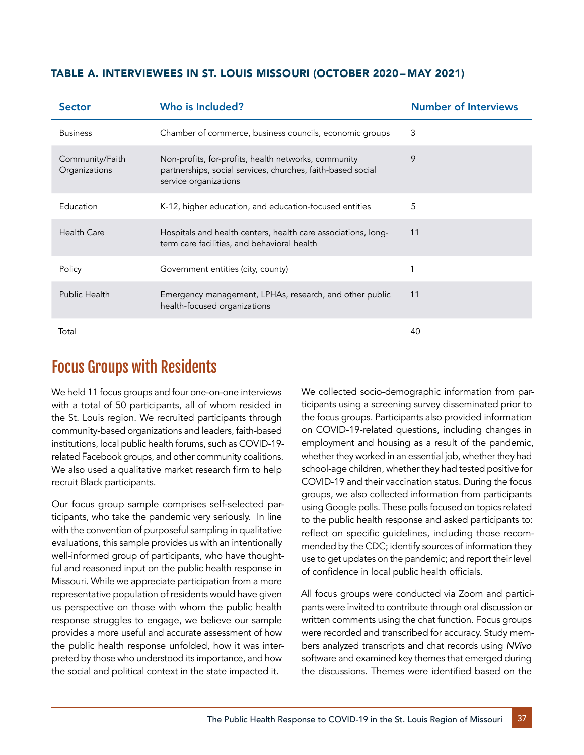| TABLE A. INTERVIEWEES IN ST. LOUIS MISSOURI (OCTOBER 2020 - MAY 2021) |  |  |  |
|-----------------------------------------------------------------------|--|--|--|
|-----------------------------------------------------------------------|--|--|--|

| <b>Sector</b>                    | Who is Included?                                                                                                                             | <b>Number of Interviews</b> |
|----------------------------------|----------------------------------------------------------------------------------------------------------------------------------------------|-----------------------------|
| <b>Business</b>                  | Chamber of commerce, business councils, economic groups                                                                                      | 3                           |
| Community/Faith<br>Organizations | Non-profits, for-profits, health networks, community<br>partnerships, social services, churches, faith-based social<br>service organizations | 9                           |
| Education                        | K-12, higher education, and education-focused entities                                                                                       | 5                           |
| Health Care                      | Hospitals and health centers, health care associations, long-<br>term care facilities, and behavioral health                                 | 11                          |
| Policy                           | Government entities (city, county)                                                                                                           |                             |
| Public Health                    | Emergency management, LPHAs, research, and other public<br>health-focused organizations                                                      | 11                          |
| Total                            |                                                                                                                                              | 40                          |

### Focus Groups with Residents

We held 11 focus groups and four one-on-one interviews with a total of 50 participants, all of whom resided in the St. Louis region. We recruited participants through community-based organizations and leaders, faith-based institutions, local public health forums, such as COVID-19 related Facebook groups, and other community coalitions. We also used a qualitative market research firm to help recruit Black participants.

Our focus group sample comprises self-selected participants, who take the pandemic very seriously. In line with the convention of purposeful sampling in qualitative evaluations, this sample provides us with an intentionally well-informed group of participants, who have thoughtful and reasoned input on the public health response in Missouri. While we appreciate participation from a more representative population of residents would have given us perspective on those with whom the public health response struggles to engage, we believe our sample provides a more useful and accurate assessment of how the public health response unfolded, how it was interpreted by those who understood its importance, and how the social and political context in the state impacted it.

We collected socio-demographic information from participants using a screening survey disseminated prior to the focus groups. Participants also provided information on COVID-19-related questions, including changes in employment and housing as a result of the pandemic, whether they worked in an essential job, whether they had school-age children, whether they had tested positive for COVID-19 and their vaccination status. During the focus groups, we also collected information from participants using Google polls. These polls focused on topics related to the public health response and asked participants to: reflect on specific guidelines, including those recommended by the CDC; identify sources of information they use to get updates on the pandemic; and report their level of confidence in local public health officials.

All focus groups were conducted via Zoom and participants were invited to contribute through oral discussion or written comments using the chat function. Focus groups were recorded and transcribed for accuracy. Study members analyzed transcripts and chat records using *NVivo* software and examined key themes that emerged during the discussions. Themes were identified based on the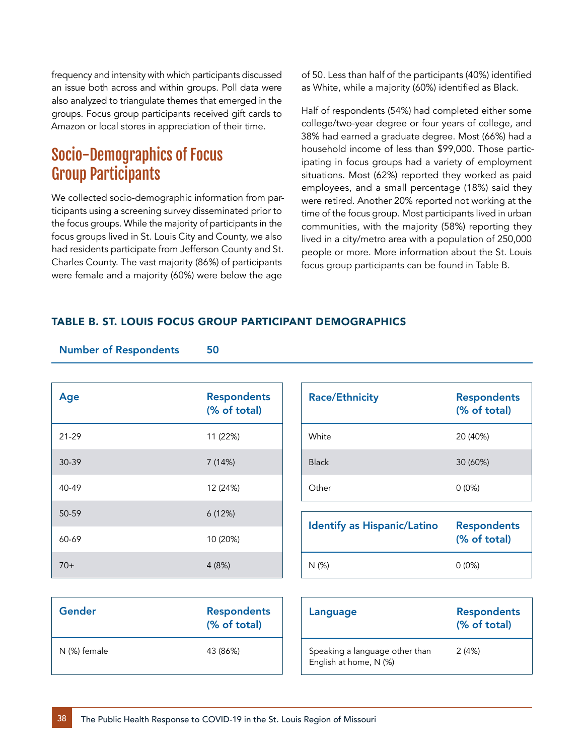frequency and intensity with which participants discussed an issue both across and within groups. Poll data were also analyzed to triangulate themes that emerged in the groups. Focus group participants received gift cards to Amazon or local stores in appreciation of their time.

### Socio-Demographics of Focus Group Participants

Number of Respondents 50

We collected socio-demographic information from participants using a screening survey disseminated prior to the focus groups. While the majority of participants in the focus groups lived in St. Louis City and County, we also had residents participate from Jefferson County and St. Charles County. The vast majority (86%) of participants were female and a majority (60%) were below the age

of 50. Less than half of the participants (40%) identified as White, while a majority (60%) identified as Black.

Half of respondents (54%) had completed either some college/two-year degree or four years of college, and 38% had earned a graduate degree. Most (66%) had a household income of less than \$99,000. Those participating in focus groups had a variety of employment situations. Most (62%) reported they worked as paid employees, and a small percentage (18%) said they were retired. Another 20% reported not working at the time of the focus group. Most participants lived in urban communities, with the majority (58%) reporting they lived in a city/metro area with a population of 250,000 people or more. More information about the St. Louis focus group participants can be found in Table B.

#### TABLE B. ST. LOUIS FOCUS GROUP PARTICIPANT DEMOGRAPHICS

| <b>Number of Respondents</b> |           | วบ                                 |  |
|------------------------------|-----------|------------------------------------|--|
|                              |           |                                    |  |
|                              | Age       | <b>Respondents</b><br>(% of total) |  |
|                              | $21 - 29$ | 11 (22%)                           |  |
|                              | 30-39     | 7 (14%)                            |  |
|                              | 40-49     | 12 (24%)                           |  |
|                              | 50-59     | 6(12%)                             |  |
|                              | 60-69     | 10 (20%)                           |  |
|                              | $70+$     | 4(8%)                              |  |

| <b>Race/Ethnicity</b> | <b>Respondents</b><br>(% of total) |
|-----------------------|------------------------------------|
| White                 | 20 (40%)                           |
| <b>Black</b>          | 30 (60%)                           |
| Other                 | $0(0\%)$                           |

| <b>Identify as Hispanic/Latino</b> | <b>Respondents</b><br>(% of total) |
|------------------------------------|------------------------------------|
| N(%)                               | $0(0\%)$                           |

| Gender       | <b>Respondents</b><br>(% of total) |
|--------------|------------------------------------|
| N (%) female | 43 (86%)                           |

| Language                                                 | <b>Respondents</b><br>(% of total) |
|----------------------------------------------------------|------------------------------------|
| Speaking a language other than<br>English at home, N (%) | 2(4%)                              |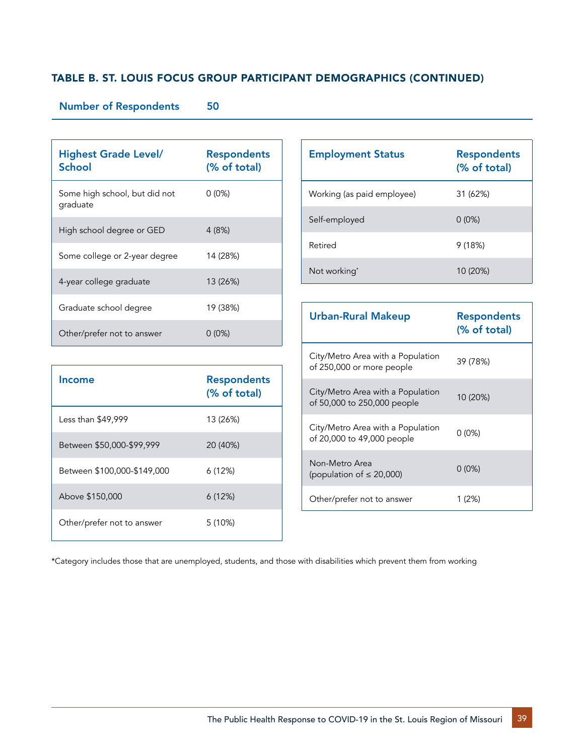#### TABLE B. ST. LOUIS FOCUS GROUP PARTICIPANT DEMOGRAPHICS (CONTINUED)

#### Number of Respondents 50

| <b>Highest Grade Level/</b><br>School     | <b>Respondents</b><br>(% of total) |
|-------------------------------------------|------------------------------------|
| Some high school, but did not<br>graduate | $0(0\%)$                           |
| High school degree or GED                 | 4(8%)                              |
| Some college or 2-year degree             | 14 (28%)                           |
| 4-year college graduate                   | 13 (26%)                           |
| Graduate school degree                    | 19 (38%)                           |
| Other/prefer not to answer                | $0(0\%)$                           |

| <b>Employment Status</b>   | <b>Respondents</b><br>(% of total) |  |  |
|----------------------------|------------------------------------|--|--|
| Working (as paid employee) | 31 (62%)                           |  |  |
| Self-employed              | $0(0\%)$                           |  |  |
| Retired                    | 9(18%)                             |  |  |
| Not working*               | 10 (20%)                           |  |  |

| <b>Urban-Rural Makeup</b>                                        | <b>Respondents</b><br>(% of total) |  |  |
|------------------------------------------------------------------|------------------------------------|--|--|
| City/Metro Area with a Population<br>of 250,000 or more people   | 39 (78%)                           |  |  |
| City/Metro Area with a Population<br>of 50,000 to 250,000 people | 10 (20%)                           |  |  |
| City/Metro Area with a Population<br>of 20,000 to 49,000 people  | $0(0\%)$                           |  |  |
| Non-Metro Area<br>(population of $\leq$ 20,000)                  | $0(0\%)$                           |  |  |
| Other/prefer not to answer                                       | 1 (2%)                             |  |  |

|                             | (% of total) |
|-----------------------------|--------------|
| Less than \$49,999          | 13 (26%)     |
| Between \$50,000-\$99,999   | 20 (40%)     |
| Between \$100,000-\$149,000 | 6(12%)       |
| Above \$150,000             | 6(12%)       |
| Other/prefer not to answer  | 5(10%)       |
|                             |              |

Income Respondents

\*Category includes those that are unemployed, students, and those with disabilities which prevent them from working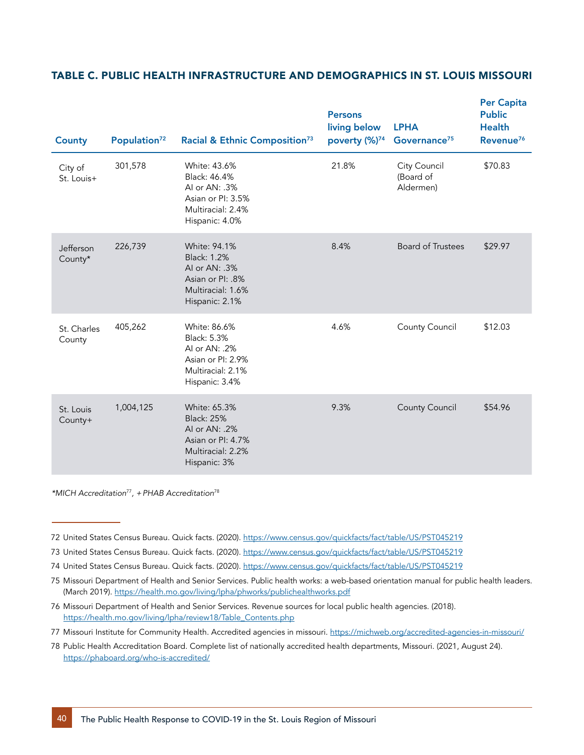#### TABLE C. PUBLIC HEALTH INFRASTRUCTURE AND DEMOGRAPHICS IN ST. LOUIS MISSOURI

| <b>County</b>         | Population <sup>72</sup> | Racial & Ethnic Composition <sup>73</sup>                                                                       | <b>Persons</b><br>living below<br>poverty (%) <sup>74</sup> | <b>LPHA</b><br>Governance <sup>75</sup> | <b>Per Capita</b><br><b>Public</b><br><b>Health</b><br>Revenue <sup>76</sup> |
|-----------------------|--------------------------|-----------------------------------------------------------------------------------------------------------------|-------------------------------------------------------------|-----------------------------------------|------------------------------------------------------------------------------|
| City of<br>St. Louis+ | 301,578                  | White: 43.6%<br>Black: 46.4%<br>Al or AN: .3%<br>Asian or PI: 3.5%<br>Multiracial: 2.4%<br>Hispanic: 4.0%       | 21.8%                                                       | City Council<br>(Board of<br>Aldermen)  | \$70.83                                                                      |
| Jefferson<br>County*  | 226,739                  | White: 94.1%<br><b>Black: 1.2%</b><br>AI or AN: .3%<br>Asian or PI: .8%<br>Multiracial: 1.6%<br>Hispanic: 2.1%  | 8.4%                                                        | <b>Board of Trustees</b>                | \$29.97                                                                      |
| St. Charles<br>County | 405,262                  | White: 86.6%<br><b>Black: 5.3%</b><br>Al or AN: .2%<br>Asian or PI: 2.9%<br>Multiracial: 2.1%<br>Hispanic: 3.4% | 4.6%                                                        | County Council                          | \$12.03                                                                      |
| St. Louis<br>County+  | 1,004,125                | White: 65.3%<br><b>Black: 25%</b><br>AI or AN: .2%<br>Asian or PI: 4.7%<br>Multiracial: 2.2%<br>Hispanic: 3%    | 9.3%                                                        | County Council                          | \$54.96                                                                      |

*\*MICH Accreditation*<sup>77</sup>*, +PHAB Accreditation*<sup>78</sup>

73 United States Census Bureau. Quick facts. (2020).<https://www.census.gov/quickfacts/fact/table/US/PST045219>

<sup>72</sup> United States Census Bureau. Quick facts. (2020).<https://www.census.gov/quickfacts/fact/table/US/PST045219>

<sup>74</sup> United States Census Bureau. Quick facts. (2020).<https://www.census.gov/quickfacts/fact/table/US/PST045219>

<sup>75</sup> Missouri Department of Health and Senior Services. Public health works: a web-based orientation manual for public health leaders. (March 2019).<https://health.mo.gov/living/lpha/phworks/publichealthworks.pdf>

<sup>76</sup> Missouri Department of Health and Senior Services. Revenue sources for local public health agencies. (2018). [https://health.mo.gov/living/lpha/review18/Table\\_Contents.php](https://health.mo.gov/living/lpha/review18/Table_Contents.php)

<sup>77</sup> Missouri Institute for Community Health. Accredited agencies in missouri.<https://michweb.org/accredited-agencies-in-missouri/>

<sup>78</sup> Public Health Accreditation Board. Complete list of nationally accredited health departments, Missouri. (2021, August 24). <https://phaboard.org/who-is-accredited/>